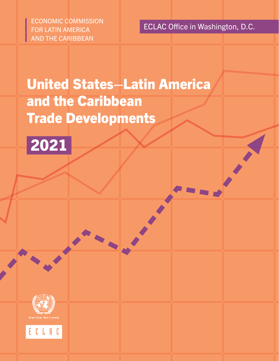ECONOMIC COMMISSION FOR LATIN AMERICA AND THE CARIBBEAN

ECLAC Office in Washington, D.C.

# United States–Latin America and the Caribbean Trade Developments





ECLAC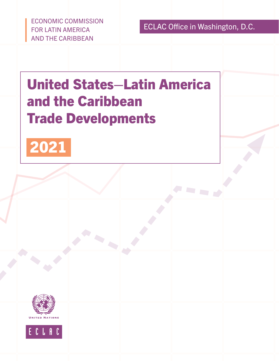ECONOMIC COMMISSION FOR LATIN AMERICA AND THE CARIBBEAN

ECLAC Office in Washington, D.C.

# United States–Latin America and the Caribbean Trade Developments





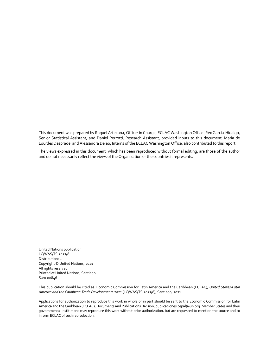This document was prepared by Raquel Artecona, Officer in Charge, ECLAC Washington Office. Rex Garcia-Hidalgo, Senior Statistical Assistant, and Daniel Perrotti, Research Assistant, provided inputs to this document. Maria de Lourdes Despradel and Alessandra Deleo, Interns of the ECLAC Washington Office, also contributed to this report.

The views expressed in this document, which has been reproduced without formal editing, are those of the author and do not necessarily reflect the views of the Organization or the countries it represents.

United Nations publication LC/WAS/TS.2021/8 Distribution: L Copyright © United Nations, 2021 All rights reserved Printed at United Nations, Santiago S.20-00846

This publication should be cited as: Economic Commission for Latin America and the Caribbean (ECLAC), *United States-Latin America and the Caribbean Trade Developments 2021* (LC/WAS/TS.2021/8), Santiago, 2021.

Applications for authorization to reproduce this work in whole or in part should be sent to the Economic Commission for Latin America and the Caribbean (ECLAC), Documents and Publications Division, publicaciones.cepal@un.org. Member States and their governmental institutions may reproduce this work without prior authorization, but are requested to mention the source and to inform ECLAC of such reproduction.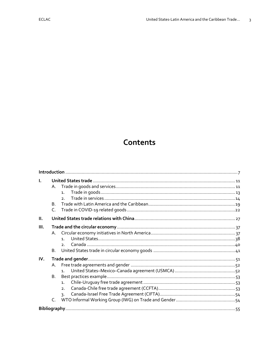# Contents

| L.   | Α.             |                      |  |
|------|----------------|----------------------|--|
|      |                | 1.<br>2 <sub>1</sub> |  |
|      | B <sub>1</sub> |                      |  |
|      | $\mathsf{C}$   |                      |  |
| Ш.   |                |                      |  |
| III. |                |                      |  |
|      |                |                      |  |
|      |                | $\mathbf{1}$         |  |
|      |                | 2 <sub>1</sub>       |  |
|      | <b>B.</b>      |                      |  |
| IV.  |                |                      |  |
|      | Α.             |                      |  |
|      |                | 1 <sup>1</sup>       |  |
|      | <b>B.</b>      |                      |  |
|      |                | 1.                   |  |
|      |                | 2 <sub>1</sub>       |  |
|      |                | 3.                   |  |
|      | C.             |                      |  |
|      |                |                      |  |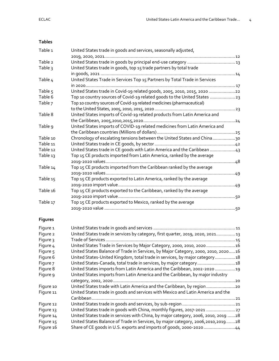## **Tables**

| Table 1        | United States trade in goods and services, seasonally adjusted,                 |  |
|----------------|---------------------------------------------------------------------------------|--|
|                |                                                                                 |  |
| Table 2        |                                                                                 |  |
| Table 3        | United States trade in goods, top 15 trade partners by total trade              |  |
|                |                                                                                 |  |
| Table 4        | United States Trade in Services Top 15 Partners by Total Trade in Services      |  |
|                |                                                                                 |  |
| Table 5        | United States trade in Covid-19 related goods, 2005, 2010, 2015, 2020 22        |  |
| Table 6        | Top 10 country sources of Covid-19 related goods to the United States 23        |  |
| Table 7        | Top 10 country sources of Covid-19 related medicines (pharmaceutical)           |  |
|                |                                                                                 |  |
| Table 8        | United States imports of Covid-19 related products from Latin America and       |  |
|                |                                                                                 |  |
| Table 9        | United States imports of COVID-19 related medicines from Latin America and      |  |
|                |                                                                                 |  |
| Table 10       | Chronology of escalating tensions between the United States and China30         |  |
| Table 11       |                                                                                 |  |
| Table 12       | United States trade in CE goods with Latin America and the Caribbean 43         |  |
| Table 13       | Top 15 CE products imported from Latin America, ranked by the average           |  |
|                |                                                                                 |  |
| Table 14       | Top 15 CE products imported from the Caribbean ranked by the average            |  |
|                |                                                                                 |  |
| Table 15       | Top 15 CE products exported to Latin America, ranked by the average             |  |
|                |                                                                                 |  |
| Table 16       | Top 15 CE products exported to the Caribbean, ranked by the average             |  |
|                |                                                                                 |  |
| Table 17       | Top 15 CE products exported to Mexico, ranked by the average                    |  |
|                |                                                                                 |  |
| <b>Figures</b> |                                                                                 |  |
| Figure 1       |                                                                                 |  |
| Figure 2       | United States trade in services by category, first quarter, 2019, 2020, 2021 13 |  |

| <u> UTIIted States trade in goods and services ……………………………………………………………………………………………</u> |     |
|----------------------------------------------------------------------------------------|-----|
| United States trade in services by category, first quarter, 2019, 2020, 2021 13        |     |
|                                                                                        |     |
| United States Trade in Services by Major Category, 2000, 2010, 2020  16                |     |
| United States Balance of Trade in Services, by Major Category, 2000, 2010, 202016      |     |
| United States-United Kingdom, total trade in services, by major category 18            |     |
| United States-Canada, total trade in services, by major category 18                    |     |
| United States imports from Latin America and the Caribbean, 2002-2020 19               |     |
| United States imports from Latin America and the Caribbean, by major industry          |     |
|                                                                                        | .20 |
| United States trade with Latin America and the Caribbean, by region 20                 |     |
| United States trade in goods and services with Mexico and Latin America and the        |     |
|                                                                                        |     |
|                                                                                        |     |
| United States trade in goods with China, monthly figures, 2017-2021  27                |     |
| United States trade in services with China, by major category, 2006, 2010, 2019 28     |     |
| United States Balance of Trade in Services, by major category, 2006,2010,201928        |     |
| Share of CE goods in U.S. exports and imports of goods, 2000-202044                    |     |
|                                                                                        |     |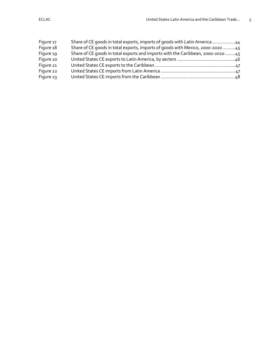| Figure 17 | Share of CE goods in total exports, imports of goods with Latin America 44     |
|-----------|--------------------------------------------------------------------------------|
| Figure 18 | Share of CE goods in total exports, imports of goods with Mexico, 2000-202045  |
| Figure 19 | Share of CE goods in total exports and imports with the Caribbean, 2000-202045 |
| Figure 20 |                                                                                |
| Figure 21 |                                                                                |
| Figure 22 |                                                                                |
| Figure 23 |                                                                                |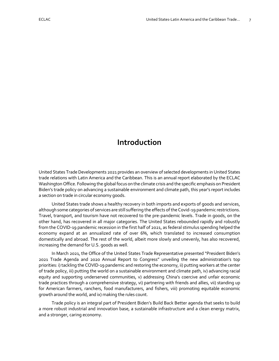# <span id="page-7-0"></span>**Introduction**

United States Trade Developments 2021 provides an overview of selected developments in United States trade relations with Latin America and the Caribbean. This is an annual report elaborated by the ECLAC Washington Office. Following the global focus on the climate crisis and the specific emphasis on President Biden's trade policy on advancing a sustainable environment and climate path, this year's report includes a section on trade in circular economy goods.

United States trade shows a healthy recovery in both imports and exports of goods and services, although some categories of services are still suffering the effects of the Covid-19 pandemic restrictions. Travel, transport, and tourism have not recovered to the pre-pandemic levels. Trade in goods, on the other hand, has recovered in all major categories. The United States rebounded rapidly and robustly from the COVID-19 pandemic recession in the first half of 2021, as federal stimulus spending helped the economy expand at an annualized rate of over 6%, which translated to increased consumption domestically and abroad. The rest of the world, albeit more slowly and unevenly, has also recovered, increasing the demand for U.S. goods as well.

In March 2021, the Office of the United States Trade Representative presented "President Biden's 2021 Trade Agenda and 2020 Annual Report to Congress" unveiling the new administration's top priorities: i) tackling the COVID-19 pandemic and restoring the economy, ii) putting workers at the center of trade policy, iii) putting the world on a sustainable environment and climate path, iv) advancing racial equity and supporting underserved communities, v) addressing China's coercive and unfair economic trade practices through a comprehensive strategy, vi) partnering with friends and allies, vii) standing up for American farmers, ranchers, food manufacturers, and fishers, viii) promoting equitable economic growth around the world, and ix) making the rules count.

Trade policy is an integral part of President Biden's Build Back Better agenda that seeks to build a more robust industrial and innovation base, a sustainable infrastructure and a clean energy matrix, and a stronger, caring economy.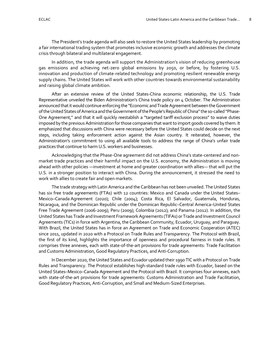The President's trade agenda will also seek to restore the United States leadership by promoting a fair international trading system that promotes inclusive economic growth and addresses the climate crisis through bilateral and multilateral engagement.

In addition, the trade agenda will support the Administration's vision of reducing greenhouse gas emissions and achieving net-zero global emissions by 2050, or before, by fostering U.S. innovation and production of climate-related technology and promoting resilient renewable energy supply chains. The United States will work with other countries towards environmental sustainability and raising global climate ambition.

After an extensive review of the United States-China economic relationship, the U.S. Trade Representative unveiled the Biden Administration's China trade policy on 4 October. The Administration announced that it would continue enforcing the "Economic and Trade Agreement between the Government of the United States of America and the Government of the People's Republic of China" the so-called "Phase-One Agreement," and that it will quickly reestablish a "targeted tariff exclusion process" to waive duties imposed by the previous Administration for those companies that want to import goods covered by them. It emphasized that discussions with China were necessary before the United States could decide on the next steps, including taking enforcement action against the Asian country. It reiterated, however, the Administration's commitment to using all available tools to address the range of China's unfair trade practices that continue to harm U.S. workers and businesses.

Acknowledging that the Phase-One agreement did not address China's state-centered and nonmarket trade practices and their harmful impact on the U.S. economy, the Administration is moving ahead with other policies —investment at home and greater coordination with allies— that will put the U.S. in a stronger position to interact with China. During the announcement, it stressed the need to work with allies to create fair and open markets.

The trade strategy with Latin America and the Caribbean has not been unveiled. The United States has six free trade agreements (FTAs) with 12 countries: Mexico and Canada under the United States– Mexico–Canada Agreement (2020); Chile (2004); Costa Rica, El Salvador, Guatemala, Honduras, Nicaragua, and the Dominican Republic under the Dominican Republic–Central America–United States Free Trade Agreement (2006-2009); Peru (2009); Colombia (2012); and Panama (2012). In addition, the United States has Trade and Investment Framework Agreements (TIFAs) or Trade and Investment Council Agreements (TICs) in force with Argentina, the Caribbean Community, Ecuador, Uruguay, and Paraguay. With Brazil, the United States has in force an Agreement on Trade and Economic Cooperation (ATEC) since 2011, updated in 2020 with a Protocol on Trade Rules and Transparency. The Protocol with Brazil, the first of its kind, highlights the importance of openness and procedural fairness in trade rules. It comprises three annexes, each with state-of-the-art provisions for trade agreements: Trade Facilitation and Customs Administration, Good Regulatory Practices, and Anti-Corruption.

In December 2020, the United States and Ecuador updated their 1990 TIC with a Protocol on Trade Rules and Transparency. The Protocol establishes high-standard trade rules with Ecuador, based on the United States–Mexico–Canada Agreement and the Protocol with Brazil. It comprises four annexes, each with state-of-the-art provisions for trade agreements: Customs Administration and Trade Facilitation, Good Regulatory Practices, Anti-Corruption, and Small and Medium-Sized Enterprises.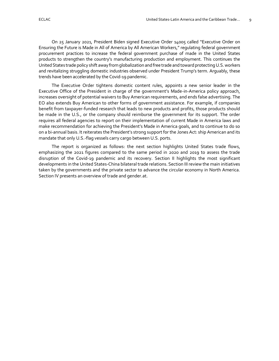On 25 January 2021, President Biden signed Executive Order 14005 called "Executive Order on Ensuring the Future is Made in All of America by All American Workers," regulating federal government procurement practices to increase the federal government purchase of made in the United States products to strengthen the country's manufacturing production and employment. This continues the United States trade policy shift away from globalization and free trade and toward protecting U.S. workers and revitalizing struggling domestic industries observed under President Trump's term. Arguably, these trends have been accelerated by the Covid-19 pandemic.

The Executive Order tightens domestic content rules, appoints a new senior leader in the Executive Office of the President in charge of the government's Made-in-America policy approach, increases oversight of potential waivers to Buy American requirements, and ends false advertising. The EO also extends Buy American to other forms of government assistance. For example, if companies benefit from taxpayer-funded research that leads to new products and profits, those products should be made in the U.S., or the company should reimburse the government for its support. The order requires all federal agencies to report on their implementation of current Made in America laws and make recommendation for achieving the President's Made in America goals, and to continue to do so on a bi-annual basis. It reiterates the President's strong support for the Jones Act: ship American and its mandate that only U.S.-flag vessels carry cargo between U.S. ports.

The report is organized as follows: the next section highlights United States trade flows, emphasizing the 2021 figures compared to the same period in 2020 and 2019 to assess the trade disruption of the Covid-19 pandemic and its recovery. Section II highlights the most significant developments in the United States-China bilateral trade relations. Section III review the main initiatives taken by the governments and the private sector to advance the circular economy in North America. Section IV presents an overview of trade and gender.at.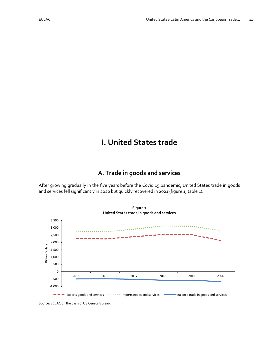# <span id="page-11-0"></span>**I. United States trade**

# **A. Trade in goods and services**

<span id="page-11-1"></span>After growing gradually in the five years before the Covid 19 pandemic, United States trade in goods and services fell significantly in 2020 but quickly recovered in 2021 (figure 1, table 1).

<span id="page-11-3"></span><span id="page-11-2"></span>

**Figure 1**

Source: ECLAC on the basis of US Census Bureau.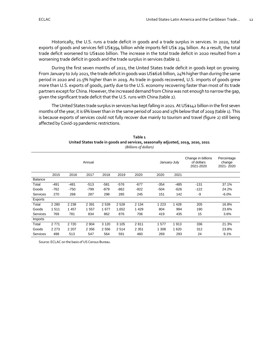Historically, the U.S. runs a trade deficit in goods and a trade surplus in services. In 2020, total exports of goods and services fell US\$394 billion while imports fell US\$ 294 billion. As a result, the total trade deficit worsened to US\$100 billion. The increase in the total trade deficit in 2020 resulted from a worsening trade deficit in goods and the trade surplus in services (table 1).

During the first seven months of 2021, the United States trade deficit in goods kept on growing. From January to July 2021, the trade deficit in goods was US\$626 billion, 24% higher than during the same period in 2020 and 21.5% higher than in 2019. As trade in goods recovered, U.S. imports of goods grew more than U.S. exports of goods, partly due to the U.S. economy recovering faster than most of its trade partners except for China. However, the increased demand from China was not enough to narrow the gap, given the significant trade deficit that the U.S. runs with China (table 2).

The United States trade surplus in services has kept falling in 2021. At US\$142 billion in the first seven months of the year, it is 6% lower than in the same period of 2020 and 15% below that of 2019 (table 1). This is because exports of services could not fully recover due mainly to tourism and travel (figure 2) still being affected by Covid-19 pandemic restrictions.

<span id="page-12-1"></span><span id="page-12-0"></span>

|          |         |         |         |         |         | (Billions of aollars) |              |         |                                               |                                   |
|----------|---------|---------|---------|---------|---------|-----------------------|--------------|---------|-----------------------------------------------|-----------------------------------|
|          |         |         | Annual  |         |         |                       | January-July |         | Change in billions<br>of dollars<br>2021-2020 | Percentage<br>change<br>2021-2020 |
|          | 2015    | 2016    | 2017    | 2018    | 2019    | 2020                  | 2020         | 2021    |                                               |                                   |
| Balance  |         |         |         |         |         |                       |              |         |                                               |                                   |
| Total    | $-491$  | $-481$  | $-513$  | $-581$  | $-576$  | $-677$                | $-354$       | $-485$  | $-131$                                        | 37.1%                             |
| Goods    | $-762$  | $-750$  | -799    | $-879$  | $-862$  | $-922$                | $-504$       | $-626$  | $-122$                                        | 24.2%                             |
| Services | 270     | 268     | 287     | 298     | 285     | 245                   | 151          | 142     | -9                                            | $-6.0%$                           |
| Exports  |         |         |         |         |         |                       |              |         |                                               |                                   |
| Total    | 2 2 8 0 | 2 2 3 8 | 2 3 9 1 | 2 5 3 9 | 2528    | 2 1 3 4               | 1 2 2 3      | 1 4 2 8 | 205                                           | 16.8%                             |
| Goods    | 1511    | 1 4 5 7 | 1 557   | 1677    | 1,652   | 1429                  | 804          | 994     | 190                                           | 23.6%                             |
| Services | 769     | 781     | 834     | 862     | 876     | 706                   | 419          | 435     | 15                                            | 3.6%                              |
| Imports  |         |         |         |         |         |                       |              |         |                                               |                                   |
| Total    | 2771    | 2 7 2 0 | 2 9 0 4 | 3 1 2 0 | 3 1 0 5 | 2811                  | 1577         | 1913    | 336                                           | 21.3%                             |
| Goods    | 2 2 7 3 | 2 2 0 7 | 2 3 5 6 | 2 5 5 6 | 2514    | 2 3 5 1               | 1 308        | 1 6 2 0 | 312                                           | 23.8%                             |
| Services | 498     | 513     | 547     | 564     | 591     | 460                   | 269          | 293     | 24                                            | 9.1%                              |

**Table 1 United States trade in goods and services, seasonally adjusted, 2019, 2020, 2021** *(Billions of dollars)*

Source: ECLAC on the basis of US Census Bureau.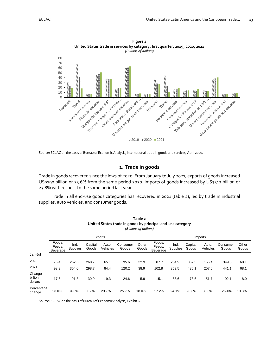<span id="page-13-4"></span><span id="page-13-3"></span>

Source: ECLAC on the basis of Bureau of Economic Analysis, international trade in goods and services, April 2021.

## **1. Trade in goods**

<span id="page-13-0"></span>Trade in goods recovered since the lows of 2020. From January to July 2021, exports of goods increased US\$190 billion or 23.6% from the same period 2020. Imports of goods increased by US\$312 billion or 23.8% with respect to the same period last year.

Trade in all end-use goods categories has recovered in 2021 (table 2), led by trade in industrial supplies, auto vehicles, and consumer goods.

<span id="page-13-2"></span><span id="page-13-1"></span>

|                                 | Table 2<br>United States trade in goods by principal end-use category<br>(Billions of dollars) |                  |                  |                   |                   |                |                              |                  |                  |                   |                   |                |
|---------------------------------|------------------------------------------------------------------------------------------------|------------------|------------------|-------------------|-------------------|----------------|------------------------------|------------------|------------------|-------------------|-------------------|----------------|
|                                 |                                                                                                |                  |                  | Exports           |                   |                |                              |                  |                  | Imports           |                   |                |
|                                 | Foods.<br>Feeds,<br>Beverage                                                                   | Ind.<br>Supplies | Capital<br>Goods | Auto.<br>Vehicles | Consumer<br>Goods | Other<br>Goods | Foods,<br>Feeds,<br>Beverage | Ind.<br>Supplies | Capital<br>Goods | Auto.<br>Vehicles | Consumer<br>Goods | Other<br>Goods |
| Jan-Jul                         |                                                                                                |                  |                  |                   |                   |                |                              |                  |                  |                   |                   |                |
| 2020                            | 76.4                                                                                           | 262.6            | 268.7            | 65.1              | 95.6              | 32.9           | 87.7                         | 284.9            | 362.5            | 155.4             | 349.0             | 60.1           |
| 2021                            | 93.9                                                                                           | 354.0            | 298.7            | 84.4              | 120.2             | 38.9           | 102.8                        | 353.5            | 436.1            | 207.0             | 441.1             | 68.1           |
| Change in<br>billion<br>dollars | 17.6                                                                                           | 91.3             | 30.0             | 19.3              | 24.6              | 5.9            | 15.1                         | 68.6             | 73.6             | 51.7              | 92.1              | 8.0            |
| Percentage<br>change            | 23.0%                                                                                          | 34.8%            | 11.2%            | 29.7%             | 25.7%             | 18.0%          | 17.2%                        | 24.1%            | 20.3%            | 33.3%             | 26.4%             | 13.3%          |

Source: ECLAC on the basis of Bureau of Economic Analysis, Exhibit 6.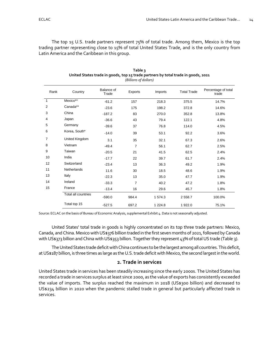The top 15 U.S. trade partners represent 75% of total trade. Among them, Mexico is the top trading partner representing close to 15% of total United States Trade, and is the only country from Latin America and the Caribbean in this group.

<span id="page-14-2"></span><span id="page-14-1"></span>

| Rank         | Country             | Balance of<br>Trade | Exports        | Imports   | <b>Total Trade</b> | Percentage of total<br>trade |
|--------------|---------------------|---------------------|----------------|-----------|--------------------|------------------------------|
| $\mathbf{1}$ | Mexico**            | $-61.2$             | 157            | 218.3     | 375.5              | 14.7%                        |
| 2            | Canada**            | $-23.6$             | 175            | 198.2     | 372.8              | 14.6%                        |
| 3            | China               | $-187.2$            | 83             | 270.0     | 352.8              | 13.8%                        |
| 4            | Japan               | $-36.6$             | 43             | 79.4      | 122.1              | 4.8%                         |
| 5            | Germany             | $-39.6$             | 37             | 76.8      | 114.0              | 4.5%                         |
| 6            | Korea, South*       | $-14.0$             | 39             | 53.1      | 92.2               | 3.6%                         |
| 7            | United Kingdom      | 3.1                 | 35             | 32.1      | 67.3               | 2.6%                         |
| 8            | Vietnam             | $-49.4$             | 7              | 56.1      | 62.7               | 2.5%                         |
| 9            | Taiwan              | $-20.5$             | 21             | 41.5      | 62.5               | 2.4%                         |
| 10           | India               | $-17.7$             | 22             | 39.7      | 61.7               | 2.4%                         |
| 12           | Switzerland         | $-23.4$             | 13             | 36.3      | 49.2               | 1.9%                         |
| 11           | Netherlands         | 11.6                | 30             | 18.5      | 48.6               | 1.9%                         |
| 13           | Italy               | $-22.3$             | 13             | 35.0      | 47.7               | 1.9%                         |
| 14           | Ireland             | $-33.3$             | $\overline{7}$ | 40.2      | 47.2               | 1.8%                         |
| 15           | France              | $-13.4$             | 16             | 29.6      | 45.7               | 1.8%                         |
|              | Total all countries | $-590.0$            | 984.4          | 1 574.3   | 2 558.7            | 100.0%                       |
|              | Total top 15        | $-527.5$            | 697.2          | 1 2 2 4.8 | 1 922.0            | 75.1%                        |

| Table 3                                                                           |
|-----------------------------------------------------------------------------------|
| United States trade in goods, top 15 trade partners by total trade in goods, 2021 |
| $\sqrt{D}$ : $\sqrt{D}$ : $\sqrt{D}$                                              |

*(Billions of dollars)*

Source: ECLAC on the basis of Bureau of Economic Analysis, supplemental Exhibit 4. Data is not seasonally adjusted.

United States' total trade in goods is highly concentrated on its top three trade partners: Mexico, Canada, and China. Mexico with US\$376 billion traded in the first seven months of 2021, followed by Canada with US\$373 billion and China with US\$353 billion. Together they represent 43% of total US trade (Table 3).

The United States trade deficit with China continues to be the largest among all countries. This deficit, at US\$187 billion, is three times as large as the U.S. trade deficit with Mexico, the second largest in the world.

#### **2. Trade in services**

<span id="page-14-0"></span>United States trade in services has been steadily increasing since the early 2000s. The United States has recorded a trade in services surplus at least since 2000, as the value of exports has consistently exceeded the value of imports. The surplus reached the maximum in 2018 (US\$300 billion) and decreased to US\$234 billion in 2020 when the pandemic stalled trade in general but particularly affected trade in services.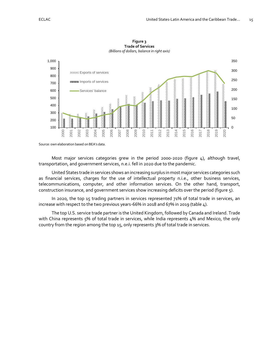<span id="page-15-1"></span><span id="page-15-0"></span>

**Figure 3 Trade of Services**

Source: own elaboration based on BEA's data.

Most major services categories grew in the period 2000-2020 (figure 4), although travel, transportation, and government services, n.e.i. fell in 2020 due to the pandemic.

United States trade in services shows an increasing surplus in most major services categories such as financial services, charges for the use of intellectual property n.i.e., other business services, telecommunications, computer, and other information services. On the other hand, transport, construction insurance, and government services show increasing deficits over the period (figure 5).

In 2020, the top 15 trading partners in services represented 71% of total trade in services, an increase with respect to the two previous years-66% in 2018 and 67% in 2019 (table 4).

The top U.S. service trade partner is the United Kingdom, followed by Canada and Ireland. Trade with China represents 5% of total trade in services, while India represents 4% and Mexico, the only country from the region among the top 15, only represents 3% of total trade in services.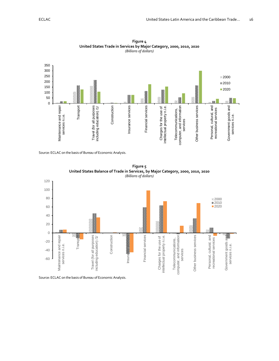<span id="page-16-1"></span><span id="page-16-0"></span>

**Figure 4 United States Trade in Services by Major Category, 2000, 2010, 2020** *(Billions of dollars)*

Source: ECLAC on the basis of Bureau of Economic Analysis.

<span id="page-16-3"></span><span id="page-16-2"></span>

**Figure 5 United States Balance of Trade in Services, by Major Category, 2000, 2010, 2020**

Source: ECLAC on the basis of Bureau of Economic Analysis.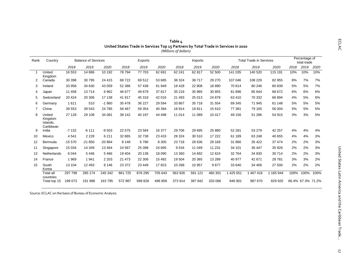<span id="page-17-0"></span>

| Rank           | Country                                    |          | <b>Balance of Services</b> |          |          | Exports  |          |          | Imports |          |         | <b>Total Trade in Services</b> |              |      | Percentage of<br>total trade |      |
|----------------|--------------------------------------------|----------|----------------------------|----------|----------|----------|----------|----------|---------|----------|---------|--------------------------------|--------------|------|------------------------------|------|
|                |                                            | 2018     | 2019                       | 2020     | 2018     | 2019     | 2020     | 2018     | 2019    | 2020     | 2018    | 2019                           | 2020         | 2018 | 2019                         | 2020 |
|                | United<br>Kingdom                          | 16 553   | 14 8 86                    | 10 192   | 78794    | 77 703   | 62 691   | 62 241   | 62 817  | 52 500   | 141 035 | 140 520                        | 115 191      | 10%  | 10%                          | 10%  |
| $\overline{2}$ | Canada                                     | 30 398   | 30 795                     | 24 4 15  | 68722    | 69512    | 53 685   | 38 324   | 38717   | 29 270   | 107 046 | 108 229                        | 82 955       | 8%   | 7%                           | 7%   |
| 3              | Ireland                                    | 33 958   | 34 630                     | 43 059   | 52 386   | 57 438   | 61 949   | 18 4 28  | 22 808  | 18890    | 70814   | 80 246                         | 80 839       | 5%   | 5%                           | 7%   |
| 4              | Japan                                      | 11 458   | 13714                      | 6962     | 46 677   | 49 679   | 37817    | 35 219   | 35 965  | 30 855   | 81896   | 85 644                         | 68 672       | 6%   | 6%                           | 6%   |
| 5              | Switzerland                                | 20 4 24  | 20 30 6                    | 17 138   | 41 917   | 45 319   | 42 016   | 21 4 9 3 | 25 013  | 24 8 78  | 63 410  | 70 332                         | 66 894       | 4%   | 5%                           | 6%   |
| 6              | Germany                                    | 1611     | 510                        | $-1960$  | 35 4 78  | 36 227   | 29 5 94  | 33 867   | 35 718  | 31 554   | 69 345  | 71 945                         | 61 148       | 5%   | 5%                           | 5%   |
| 7              | China                                      | 39 553   | 39 543                     | 24 785   | 58 467   | 59 354   | 40 394   | 18 9 14  | 19811   | 15 6 10  | 77 381  | 79 165                         | 56 004       | 5%   | 5%                           | 5%   |
| 8              | United<br>Kingdom<br>Islands.<br>Caribbean | 27 128   | 29 108                     | 34 081   | 38 142   | 40 197   | 44 4 98  | 11 0 14  | 11 089  | 10 417   | 49 156  | 51 286                         | 54 915       | 3%   | 3%                           | 5%   |
| 9              | India                                      | $-7132$  | $-6111$                    | $-9503$  | 22 575   | 23 5 84  | 16 377   | 29 706   | 29 6 95 | 25 880   | 52 281  | 53 279                         | 42 257       | 4%   | 4%                           | 4%   |
| 10             | Mexico                                     | 4541     | 2 2 2 8                    | 6 2 1 1  | 32 865   | 32738    | 23 4 33  | 28 3 24  | 30 510  | 17 222   | 61 189  | 63 248                         | 40 655       | 4%   | 4%                           | 3%   |
| 12             | Bermuda                                    | $-15570$ | $-21850$                   | $-20864$ | 8 1 4 8  | 6786     | 8 3 0 5  | 23718    | 28 636  | 29 169   | 31 866  | 35 4 22                        | 37 474       | 2%   | 2%                           | 3%   |
| 11             | Singapore                                  | 15 0 34  | 14 349                     | 13 4 64  | 24 5 67  | 25 3 98  | 24 6 95  | 9534     | 11 049  | 11 231   | 34 101  | 36 447                         | 35 926       | 2%   | 2%                           | 3%   |
| 13             | <b>Netherlands</b>                         | 6044     | 5446                       | 5466     | 19 4 04  | 20 138   | 18 090   | 13 360   | 14 692  | 12 6 24  | 32 764  | 34 830                         | 30714        | 2%   | 2%                           | 3%   |
| 14             | France                                     | 1969     | 1941                       | 2 2 0 3  | 21 4 7 3 | 22 306   | 15 4 9 2 | 19 504   | 20 365  | 13 2 8 9 | 40 977  | 42 671                         | 28781        | 3%   | 3%                           | 2%   |
| 15             | South<br>Korea                             | 13 104   | 12 4 9 3                   | 8 1 4 6  | 23 372   | 23 4 4 9 | 17823    | 10 268   | 10 957  | 9677     | 33 640  | 34 406                         | 27 500       | 2%   | 2%                           | 2%   |
|                | <b>Total all</b><br>countries              | 297 799  | 285 174                    | 245 342  | 861 725  | 876 295  | 705 643  | 563 926  | 591 121 | 460 301  | 425 651 | 467416                         | 165 944<br>1 | 100% | 100%                         | 100% |
|                | Total top 15                               | 199 073  | 191 988                    | 163795   | 572 987  | 589828   | 496 859  | 373 914  | 397 842 | 333 066  | 946 901 | 987 670                        | 829 925      |      | 66.4% 67.3% 71.2%            |      |

| ∟Table ∆                                                                           |
|------------------------------------------------------------------------------------|
| United States Trade in Services Top 15 Partners by Total Trade in Services in 2020 |
| (Millions of dollars)                                                              |

<span id="page-17-1"></span>Source: ECLAC on the basis of Bureau of Economic Analysis.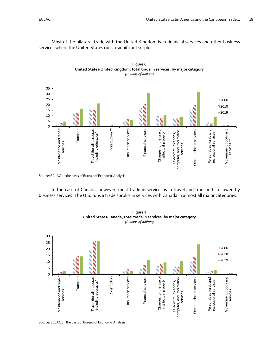Most of the bilateral trade with the United Kingdom is in financial services and other business services where the United States runs a significant surplus.

**Figure 6**

<span id="page-18-1"></span><span id="page-18-0"></span>

Source: ECLAC on the basis of Bureau of Economic Analysis.

In the case of Canada, however, most trade in services is in travel and transport, followed by business services. The U.S. runs a trade surplus in services with Canada in almost all major categories.

<span id="page-18-3"></span><span id="page-18-2"></span>

**Figure 7 United States-Canada, total trade in services, by major category** *(Billions of dollars)*

Source: ECLAC on the basis of Bureau of Economic Analysis.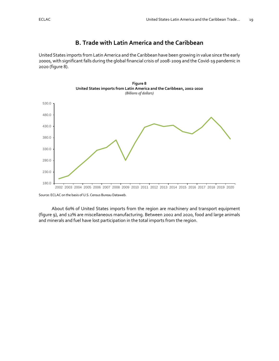# **B. Trade with Latin America and the Caribbean**

<span id="page-19-0"></span>United States imports from Latin America and the Caribbean have been growing in value since the early 2000s, with significant falls during the global financial crisis of 2008-2009 and the Covid-19 pandemic in 2020 (figure 8).

<span id="page-19-2"></span><span id="page-19-1"></span>



Source: ECLAC on the basis of U.S. Census Bureau Dataweb.

About 60% of United States imports from the region are machinery and transport equipment (figure 9), and 12% are miscellaneous manufacturing. Between 2002 and 2020, food and large animals and minerals and fuel have lost participation in the total imports from the region.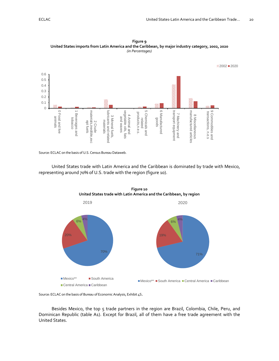

<span id="page-20-1"></span><span id="page-20-0"></span>**Figure 9 United States imports from Latin America and the Caribbean, by major industry category, 2002, 2020** *(in Percentages)*

Source: ECLAC on the basis of U.S. Census Bureau Dataweb.

United States trade with Latin America and the Caribbean is dominated by trade with Mexico, representing around 70% of U.S. trade with the region (figure 10).

<span id="page-20-3"></span><span id="page-20-2"></span>

**Figure 10 United States trade with Latin America and the Caribbean, by region**

Source: ECLAC on the basis of Bureau of Economic Analysis, Exhibit 4S.

Besides Mexico, the top 5 trade partners in the region are Brazil, Colombia, Chile, Peru, and Dominican Republic (table A1). Except for Brazil, all of them have a free trade agreement with the United States.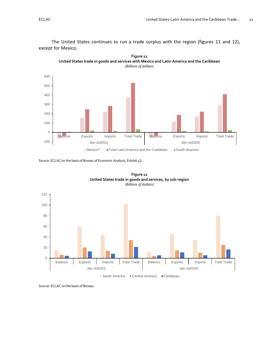The United States continues to run a trade surplus with the region (figures 11 and 12), except for Mexico.

**Figure 11**

<span id="page-21-1"></span><span id="page-21-0"></span>

<span id="page-21-2"></span>Source: ECLAC on the basis of Bureau of Economic Analysis, Exhibit 4S.

<span id="page-21-3"></span>



Source: ECLAC on the basis of Bureau.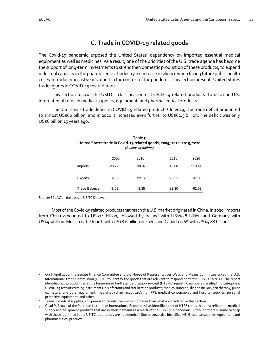# **C. Trade in COVID-19 related goods**

<span id="page-22-0"></span>The Covid-19 pandemic exposed the United States' dependency on imported essential medical equipment as well as medicines. As a result, one of the priorities of the U.S. trade agenda has become the support of long-term investments to strengthen domestic production of these products, to expand industrial capacity in the pharmaceutical industry to increase resilience when facing future public health crises. Introduced in last year's report in the context of the pandemic, this section presents United States trade figures in COVID-19 related trade.

This section follows the USITC's classification of COVID-19 related products<sup>1</sup> to describe U.S. international trade in medical supplies, equipment, and pharmaceutical products<sup>2</sup>.

<span id="page-22-2"></span><span id="page-22-1"></span>The U.S. runs a trade deficit in COVID-19 related products<sup>3</sup> In 2019, the trade deficit amounted to almost US\$60 billion, and in 2020 it increased even further to US\$62.5 billion. The deficit was only US\$8 billion 15 years ago.

| Table 5<br>United States trade in Covid-19 related goods, 2005, 2010, 2015, 2020<br>(Billions of dollars) |         |         |          |          |  |  |  |  |  |
|-----------------------------------------------------------------------------------------------------------|---------|---------|----------|----------|--|--|--|--|--|
|                                                                                                           | 2005    | 2010    | 2015     | 2020     |  |  |  |  |  |
| Imports                                                                                                   | 20.72   | 30.97   | 45.80    | 110.41   |  |  |  |  |  |
| Exports                                                                                                   | 12.63   | 22.12   | 23.51    | 47.88    |  |  |  |  |  |
| Trade Balance                                                                                             | $-8.09$ | $-8.85$ | $-22.30$ | $-62.53$ |  |  |  |  |  |

Source: ECLAC on the basis of USITC Dataweb.

Most of the Covid-19 related products that reach the U.S. market originated in China. In 2020, imports from China amounted to US\$24 billion, followed by Ireland with US\$10.8 billion and Germany with US\$9.9billion. Mexico is the fourth with US\$8.6 billion in 2020, and Canada is 6<sup>th</sup> with US\$4.88 billion.

<sup>1</sup> On 6 April 2020, the Senate Finance Committee and the House of Representatives Ways and Means Committee asked the U.S. International Trade Commission (USITC) to identify the goods that are relevant to responding to the COVID-19 crisis. The report identified 112 product lines at the harmonized tariff standardization 10-digit (HTS-10) reporting numbers classified in 7 categories: COVID-19 test kits/testing instruments; disinfectants and sterilization products; medical imaging, diagnostic, oxygen therapy, pulse oximeters, and other equipment; medicines (pharmaceuticals); non-PPE medical consumables and hospital supplies; personal protective equipment; and other.

<sup>2</sup> Trade in medical supplies, equipment and medicines is much broader than what is considered in this section.

 $_3$  Chad P. Brown of the Peterson Institute of International Economics has identified a set of HTS6 codes that best reflect the medical supply and equipment products that are in short demand as a result of the COVID-19 pandemic. Although there is some overlap with those identified in the USITC report, they are not identical. Sutter, 2020 also identified HS-6 medical supplies, equipment and pharmaceutical products.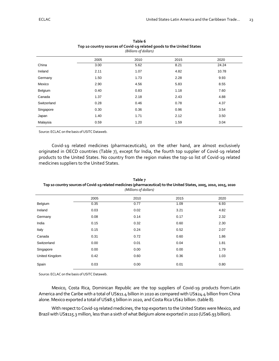<span id="page-23-1"></span><span id="page-23-0"></span>

| (Billions of dollars) |      |      |      |       |  |  |  |  |
|-----------------------|------|------|------|-------|--|--|--|--|
|                       | 2005 | 2010 | 2015 | 2020  |  |  |  |  |
| China                 | 3.00 | 5.62 | 8.21 | 24.24 |  |  |  |  |
| Ireland               | 2.11 | 1.07 | 4.82 | 10.78 |  |  |  |  |
| Germany               | 1.50 | 1.73 | 2.28 | 9.93  |  |  |  |  |
| Mexico                | 2.90 | 4.56 | 5.83 | 8.55  |  |  |  |  |
| Belgium               | 0.40 | 0.83 | 1.18 | 7.60  |  |  |  |  |
| Canada                | 1.37 | 2.18 | 2.43 | 4.88  |  |  |  |  |
| Switzerland           | 0.28 | 0.46 | 0.78 | 4.37  |  |  |  |  |
| Singapore             | 0.30 | 0.36 | 0.96 | 3.54  |  |  |  |  |
| Japan                 | 1.40 | 1.71 | 2.12 | 3.50  |  |  |  |  |
| Malaysia              | 0.59 | 1.20 | 1.59 | 3.04  |  |  |  |  |

| Table 6                                                               |  |  |  |  |
|-----------------------------------------------------------------------|--|--|--|--|
| Top 10 country sources of Covid-19 related goods to the United States |  |  |  |  |
| (Billions of dollars)                                                 |  |  |  |  |

Source: ECLAC on the basis of USITC Dataweb.

Covid-19 related medicines (pharmaceuticals), on the other hand, are almost exclusively originated in OECD countries (Table 7), except for India, the fourth top supplier of Covid-19 related products to the United States. No country from the region makes the top-10 list of Covid-19 related medicines suppliers to the United States.

<span id="page-23-3"></span>

| (Millions of dollars) |      |      |      |      |  |
|-----------------------|------|------|------|------|--|
|                       | 2005 | 2010 | 2015 | 2020 |  |
| Belgium               | 0.35 | 0.77 | 1.09 | 6.93 |  |
| Ireland               | 0.03 | 0.02 | 3.21 | 4.82 |  |
| Germany               | 0.08 | 0.14 | 0.17 | 2.32 |  |
| India                 | 0.15 | 0.32 | 0.60 | 2.30 |  |
| Italy                 | 0.15 | 0.24 | 0.52 | 2.07 |  |
| Canada                | 0.31 | 0.72 | 0.60 | 1.86 |  |
| Switzerland           | 0.00 | 0.01 | 0.04 | 1.81 |  |
| Singapore             | 0.00 | 0.00 | 0.00 | 1.79 |  |
| United Kingdom        | 0.42 | 0.60 | 0.36 | 1.03 |  |
| Spain                 | 0.03 | 0.00 | 0.01 | 0.80 |  |

<span id="page-23-2"></span>**Table 7 Top 10 country sources of Covid-19 related medicines (pharmaceutical) to the United States, 2005, 2010, 2015, 2020**

Source: ECLAC on the basis of USITC Dataweb.

Mexico, Costa Rica, Dominican Republic are the top suppliers of Covid-19 products from Latin America and the Caribe with a total of US\$11.4 billion in 2020 as compared with US\$24.4 billion from China alone. Mexico exported a total of US\$8.5 billion in 2020, and Costa Rica US\$2 billion. (table 8).

With respect to Covid-19 related medicines, the top exporters to the United States were Mexico, and Brazil with US\$115.3 million, less than a sixth of what Belgium alone exported in 2020 (US\$6.93 billion).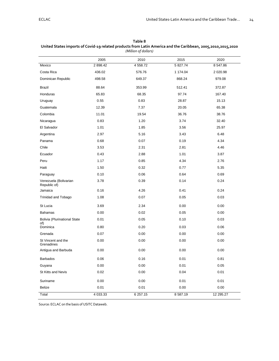|                                       | 2005     | 2010                  | 2015     | 2020       |
|---------------------------------------|----------|-----------------------|----------|------------|
| Mexico                                | 2 898.42 | 4 5 58.72<br>5 827.74 |          | 8 547.86   |
| Costa Rica                            | 436.02   | 576.76                | 1 174.04 | 2 0 2 0.98 |
| Dominican Republic                    | 498.58   | 649.37                | 868.24   | 979.08     |
| <b>Brazil</b>                         | 88.64    | 353.99                | 512.41   | 372.87     |
| Honduras                              | 65.83    | 68.35                 | 97.74    | 167.40     |
| Uruguay                               | 0.55     | 0.83                  | 28.87    | 15.13      |
| Guatemala                             | 12.39    | 7.37                  | 20.05    | 65.38      |
| Colombia                              | 11.01    | 19.54                 | 36.76    | 38.76      |
| Nicaragua                             | 0.83     | 1.20                  | 3.74     | 32.40      |
| El Salvador                           | 1.01     | 1.85                  | 3.56     | 25.97      |
| Argentina                             | 2.97     | 5.16                  | 3.43     | 6.48       |
| Panama                                | 0.68     | 0.07                  | 0.19     | 4.34       |
| Chile                                 | 3.53     | 2.31                  | 2.81     | 4.46       |
| Ecuador                               | 0.43     | 2.88                  | 1.01     | 3.87       |
| Peru                                  | 1.17     | 0.85                  | 4.34     | 2.76       |
| Haiti                                 | 1.50     | 0.32                  | 0.77     | 5.35       |
| Paraguay                              | 0.10     | 0.06                  | 0.64     | 0.69       |
| Venezuela (Bolivarian<br>Republic of) | 3.78     | 0.39                  | 0.14     | 0.24       |
| Jamaica                               | 0.16     | 4.26                  | 0.41     | 0.24       |
| Trinidad and Tobago                   | 1.08     | 0.07                  | 0.05     | 0.03       |
| St Lucia                              | 3.69     | 2.34                  | 0.00     | 0.00       |
| <b>Bahamas</b>                        | 0.00     | 0.02                  | 0.05     | 0.00       |
| <b>Bolivia (Plurinational State</b>   | 0.01     | 0.05                  | 0.10     | 0.03       |
| of)<br>Dominica                       | 0.80     | 0.20                  | 0.03     | 0.06       |
| Grenada                               | 0.07     | 0.00                  | 0.00     | 0.00       |
| St Vincent and the<br>Grenadines      | 0.00     | 0.00                  | 0.00     | 0.00       |
| Antigua and Barbuda                   | 0.00     | 0.00                  | 0.00     | 0.00       |
| Barbados                              | 0.06     | 0.16                  | 0.01     | 0.81       |
| Guyana                                | 0.00     | 0.00                  | 0.01     | 0.05       |
| St Kitts and Nevis                    | 0.02     | 0.00                  | 0.04     | 0.01       |
| Suriname                              | 0.00     | 0.00                  | 0.01     | 0.01       |
| Belize                                | 0.01     | 0.01                  | 0.00     | 0.00       |
| Total                                 | 4 033.33 | 6 257.15              | 8 587.19 | 12 295.27  |

<span id="page-24-1"></span><span id="page-24-0"></span>**Table 8 United States imports of Covid-19 related products from Latin America and the Caribbean, 2005,2010,2015,2020** *(Million of dollars)*

Source: ECLAC on the basis of USITC Dataweb.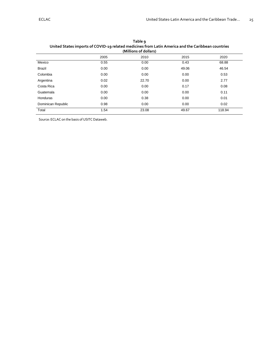<span id="page-25-1"></span><span id="page-25-0"></span>

| (Millions of dollars) |      |       |       |        |  |
|-----------------------|------|-------|-------|--------|--|
|                       | 2005 | 2010  | 2015  | 2020   |  |
| Mexico                | 0.55 | 0.00  | 0.43  | 68.88  |  |
| <b>Brazil</b>         | 0.00 | 0.00  | 49.06 | 46.54  |  |
| Colombia              | 0.00 | 0.00  | 0.00  | 0.53   |  |
| Argentina             | 0.02 | 22.70 | 0.00  | 2.77   |  |
| Costa Rica            | 0.00 | 0.00  | 0.17  | 0.08   |  |
| Guatemala             | 0.00 | 0.00  | 0.00  | 0.11   |  |
| Honduras              | 0.00 | 0.38  | 0.00  | 0.01   |  |
| Dominican Republic    | 0.98 | 0.00  | 0.00  | 0.02   |  |
| Total                 | 1.54 | 23.08 | 49.67 | 118.94 |  |

| Table <b>q</b>                                                                                     |
|----------------------------------------------------------------------------------------------------|
| United States imports of COVID-19 related medicines from Latin America and the Caribbean countries |
| (Millions of dollars)                                                                              |

Source: ECLAC on the basis of USITC Dataweb.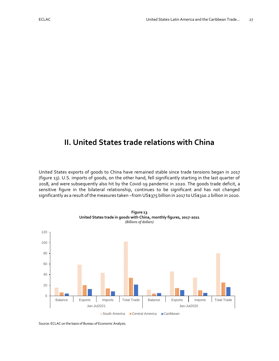# <span id="page-27-0"></span>**II. United States trade relations with China**

United States exports of goods to China have remained stable since trade tensions began in 2017 (figure 13). U.S. imports of goods, on the other hand, fell significantly starting in the last quarter of 2018, and were subsequently also hit by the Covid-19 pandemic in 2020. The goods trade deficit, a sensitive figure in the bilateral relationship, continues to be significant and has not changed significantly as a result of the measures taken –from US\$375 billion in 2017 to US\$310.2 billion in 2020.

<span id="page-27-2"></span><span id="page-27-1"></span>

Source: ECLAC on the basis of Bureau of Economic Analysis.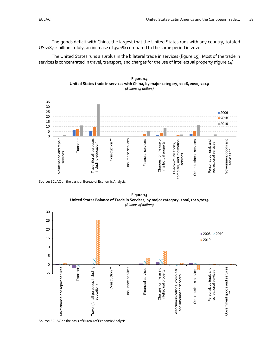The goods deficit with China, the largest that the United States runs with any country, totaled US\$187.2 billion in July, an increase of 39.1% compared to the same period in 2020.

The United States runs a surplus in the bilateral trade in services (figure 15). Most of the trade in services is concentrated in travel, transport, and charges for the use of intellectual property (figure 14).



<span id="page-28-1"></span><span id="page-28-0"></span>

Source: ECLAC on the basis of Bureau of Economic Analysis.

<span id="page-28-3"></span><span id="page-28-2"></span>

**Figure 15 United States Balance of Trade in Services, by major category, 2006,2010,2019**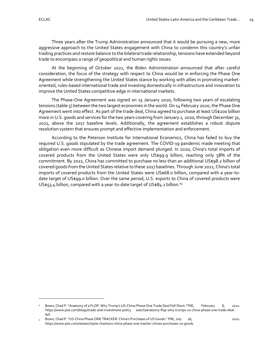Three years after the Trump Administration announced that it would be pursuing a new, more aggressive approach to the United States engagement with China to condemn this country's unfair trading practices and restore balance to the bilateral trade relationship, tensions have extended beyond trade to encompass a range of geopolitical and human rights issues.

At the beginning of October 2021, the Biden Administration announced that after careful consideration, the focus of the strategy with respect to China would be in enforcing the Phase One Agreement while strengthening the United States stance by working with allies in promoting marketoriented, rules-based international trade and investing domestically in infrastructure and innovation to improve the United States competitive edge in international markets.

The Phase-One Agreement was signed on 15 January 2020, following two years of escalating tensions (table 5) between the two largest economies in the world. On 14 February 2020, the Phase One Agreement went into effect. As part of the trade deal, China agreed to purchase at least US\$200 billion more in U.S. goods and services for the two years covering from January 1, 2020, through December 31, 2021, above the 2017 baseline levels. Additionally, the agreement establishes a robust dispute resolution system that ensures prompt and effective implementation and enforcement.

According to the Peterson Institute for International Economics, China has failed to buy the required U.S. goods stipulated by the trade agreement. The COVID-19 pandemic made meeting that obligation even more difficult as Chinese import demand plunged. In 2020, China's total imports of covered products from the United States were only US\$99.9 billion, reaching only 58% of the commitment. By 2021, China has committed to purchase no less than an additional US\$98.2 billion of covered goods from the United States relative to these 2017 baselines. Through June 2021, China's total imports of covered products from the United States were US\$68.0 billion, compared with a year-todate target of US\$99.0 billion. Over the same period, U.S. exports to China of covered products were US\$53.4 billion, compared with a year-to-date target of US\$84.1 billion.<sup>45</sup>

Bown, Chad P. "Anatomy of a FLOP: Why Trump's US-China Phase One Trade Deal Fell Short." PIIE, February 8, 2021. https://www.piie.com/blogs/trade-and-investment-policy [watch/anatomy-flop-why-trumps-us-china-phase-one-trade-deal](https://www.piie.com/blogs/trade-and-investment-policy%09watch/anatomy-flop-why-trumps-us-china-phase-one-trade-deal-fell)[fell.](https://www.piie.com/blogs/trade-and-investment-policy%09watch/anatomy-flop-why-trumps-us-china-phase-one-trade-deal-fell)

<sup>5</sup> Bown, Chad P. "US-China Phase ONE TRACKER: China's Purchases of US Goods." PIIE, July 26, 2021. <https://www.piie.com/research/piie-charts/us-china-phase-one-tracker-chinas-purchases-us-goods>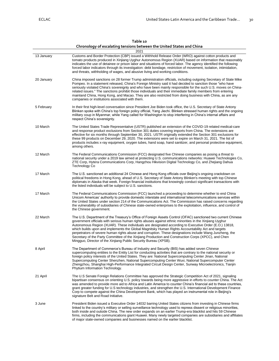<span id="page-30-1"></span><span id="page-30-0"></span>

|            | Chronology of escalating tensions between the United States and China                                                                                                                                                                                                                                                                                                                                                                                                                                                                                                                                                                                                                                                      |  |  |  |
|------------|----------------------------------------------------------------------------------------------------------------------------------------------------------------------------------------------------------------------------------------------------------------------------------------------------------------------------------------------------------------------------------------------------------------------------------------------------------------------------------------------------------------------------------------------------------------------------------------------------------------------------------------------------------------------------------------------------------------------------|--|--|--|
|            | 2021                                                                                                                                                                                                                                                                                                                                                                                                                                                                                                                                                                                                                                                                                                                       |  |  |  |
| 13 January | Customs and Border Protection (CBP) issued a Withhold Release Order (WRO) against cotton products and<br>tomato products produced in Xinjiang Uyghur Autonomous Region (XUAR) based on information that reasonably<br>indicates the use of detainee or prison labor and situations of forced labor. The agency identified the following<br>forced labor indicators through its investigation: debt bondage, restriction of movement, isolation, intimidation,<br>and threats, withholding of wages, and abusive living and working conditions.                                                                                                                                                                             |  |  |  |
| 20 January | China imposed sanctions on 28 former Trump administration officials, including outgoing Secretary of State Mike<br>Pompeo. In a statement released, China's Foreign Ministry said it had decided to sanction those "who have<br>seriously violated China's sovereignty and who have been mainly responsible for the such U.S. moves on China-<br>related issues." The sanctions prohibit those individuals and their immediate family members from entering<br>mainland China, Hong Kong, and Macao. They are also restricted from doing business with China, as are any<br>companies or institutions associated with them.                                                                                                |  |  |  |
| 5 February | In their first high-level conversation since President Joe Biden took office, the U.S. Secretary of State Antony<br>Blinken spoke with China's top foreign policy official, Yang Jiechi. Blinken stressed human rights and the ongoing<br>military coup in Myanmar, while Yang called for Washington to stop interfering in China's internal affairs and<br>respect China's sovereignty.                                                                                                                                                                                                                                                                                                                                   |  |  |  |
| 10 March   | The United States Trade Representative (USTR) published an extension of the COVID-19 related medical-care<br>and response product exclusions from Section 301 duties covering imports from China. The extensions are<br>effective for six months through September 30, 2021. USTR originally extended the Section 301 exclusions for<br>these 99 products on December 29, 2020. The extensions were set to expire on March 31, 2021. The list of<br>products includes x-ray equipment, oxygen tubes, hand soap, hand sanitizer, and personal protective equipment,<br>among others.                                                                                                                                        |  |  |  |
| 12 March   | The Federal Communications Commission (FCC) designated five Chinese companies as posing a threat to<br>national security under a 2019 law aimed at protecting U.S. communications networks: Huawei Technologies Co,<br>ZTE Corp, Hytera Communications Corp, Hangzhou Hikvision Digital Technology Co, and Zhejiang Dahua<br><b>Technology Co</b>                                                                                                                                                                                                                                                                                                                                                                          |  |  |  |
| 17 March   | The U.S. sanctioned an additional 24 Chinese and Hong Kong officials over Beijing's ongoing crackdown on<br>political freedoms in Hong Kong, ahead of U.S. Secretary of State Antony Blinken's meeting with top Chinese<br>diplomats in Alaska that week. Foreign financial institutions that knowingly conduct significant transactions with<br>the listed individuals will be subject to U.S. sanctions.                                                                                                                                                                                                                                                                                                                 |  |  |  |
| 17 March   | The Federal Communications Commission (FCC) launched a proceeding to determine whether to end China<br>Unicom Americas' authority to provide domestic interstate and international telecommunications services within<br>the United States under section 214 of the Communications Act. The Commission has raised concerns regarding<br>the vulnerability of subsidiaries of Chinese state-owned enterprises to the exploitation, influence, and control of<br>the Chinese government.                                                                                                                                                                                                                                     |  |  |  |
| 22 March   | The U.S. Department of the Treasury's Office of Foreign Assets Control (OFAC) sanctioned two current Chinese<br>government officials with serious human rights abuses against ethnic minorities in the Xinjiang Uyghur<br>Autonomous Region (XUAR). These individuals are designated according to Executive Order (E.O.) 13818,<br>which builds upon and implements the Global Magnitsky Human Rights Accountability Act and targets<br>perpetrators of severe human rights abuse and corruption. These designations include Wang Junzheng, the<br>Secretary of the Party Committee of the Xinjiang Production and Construction Corps (XPCC), and Chen<br>Mingguo, Director of the Xinjiang Public Security Bureau (XPSB). |  |  |  |
| 8 April    | The Department of Commerce's Bureau of Industry and Security (BIS) has added seven Chinese<br>supercomputing entities to the Entity List for conducting activities that are contrary to the national security or<br>foreign policy interests of the United States. They are: National Supercomputing Center Jinan, National<br>Supercomputing Center Shenzhen, National Supercomputing Center Wuxi, National Supercomputer Center<br>Zhengzhou, Shanghai High-Performance Integrated Circuit Design Center, Sunway Microelectronics, Tianjin<br>Phytium Information Technology.                                                                                                                                            |  |  |  |
| 21 April   | The U.S Senate Foreign Relations Committee has approved the Strategic Competition Act of 2021, signaling<br>bipartisan consensus on orienting U.S. policy towards being more aggressive in efforts to counter China. The Act<br>was amended to provide more aid to Africa and Latin America to counter China's financial aid to these countries,<br>grant greater funding for U.S technology industries, and strengthen the U.S. International Development Finance<br>Corp to compete against the China Development Bank, which has played an instrumental role in Beijing's<br>signature Belt and Road Initiative.                                                                                                        |  |  |  |
| 3 June     | President Biden issued a Executive Order 14032 barring United States citizens from investing in Chinese firms<br>linked to the country's military or selling surveillance technology used to repress dissent or religious minorities,<br>both inside and outside China. The new order expands on an earlier Trump-era blacklist and hits 59 Chinese                                                                                                                                                                                                                                                                                                                                                                        |  |  |  |

firms, including the communications giant Huawei. Many newly targeted companies are subsidiaries and affiliates

of major state-owned companies and businesses named on the earlier blacklist.

**Table 10**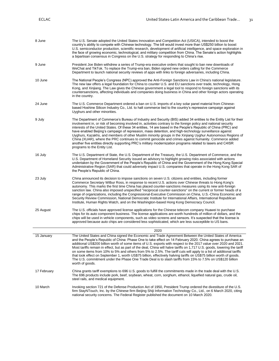| 8 June      | The U.S. Senate adopted the United States Innovation and Competition Act (USICA), intended to boost the<br>country's ability to compete with Chinese technology. The bill would invest more than US\$250 billion to boost<br>U.S. semiconductor production, scientific research, development of artificial intelligence, and space exploration in<br>the face of growing economic, technological, and military competition from China. The Senate's action highlights<br>a bipartisan consensus in Congress on the U.S. strategy for responding to China's rise.                                                                                                                                                                                                                                                                                            |
|-------------|-------------------------------------------------------------------------------------------------------------------------------------------------------------------------------------------------------------------------------------------------------------------------------------------------------------------------------------------------------------------------------------------------------------------------------------------------------------------------------------------------------------------------------------------------------------------------------------------------------------------------------------------------------------------------------------------------------------------------------------------------------------------------------------------------------------------------------------------------------------|
| 9 June      | President Joe Biden withdrew a series of Trump-era executive orders that sought to ban new downloads of<br>WeChat and TikTok. To replace the Trump-era ban, Biden signed new orders calling for the Commerce<br>Department to launch national security reviews of apps with links to foreign adversaries, including China.                                                                                                                                                                                                                                                                                                                                                                                                                                                                                                                                  |
| 10 June     | The National People's Congress (NPC) approved the Anti-Foreign Sanctions Law in China's national legislature.<br>The new law offers a legal foundation for China to counter U.S. and EU sanctions over trade, technology, Hong<br>Kong, and Xinjiang. The Law gives the Chinese government a legal tool to respond to foreign sanctions with its<br>countersanctions, affecting individuals and companies doing business in China and other foreign actors operating<br>in the country.                                                                                                                                                                                                                                                                                                                                                                     |
| 24 June     | The U.S. Commerce Department ordered a ban on U.S. imports of a key solar panel material from Chinese-<br>based Hoshine Silicon Industry Co., Ltd. to halt commerce tied to the country's repressive campaign against<br>Uyghurs and other minorities.                                                                                                                                                                                                                                                                                                                                                                                                                                                                                                                                                                                                      |
| 9 July      | The Department of Commerce's Bureau of Industry and Security (BIS) added 34 entities to the Entity List for their<br>involvement in, or risk of becoming involved in, activities contrary to the foreign policy and national security<br>interests of the United States. Of these 34 entities, 14 are based in the People's Republic of China (PRC) and<br>have enabled Beijing's campaign of repression, mass detention, and high-technology surveillance against<br>Uyghurs, Kazakhs, and members of other Muslim minority groups in the Xinjiang Uyghur Autonomous Regions of<br>China (XUAR), where the PRC continues to commit genocide and crimes against humanity. Commerce added<br>another five entities directly supporting PRC's military modernization programs related to lasers and C4ISR<br>programs to the Entity List.                     |
| 16 July     | The U.S. Department of State, the U.S. Department of the Treasury, the U.S. Department of Commerce, and the<br>U.S. Department of Homeland Security issued an advisory to highlight growing risks associated with actions<br>undertaken by the Government of the People's Republic of China and the Government of the Hong Kong Special<br>Administrative Region (SAR) that could adversely impact U.S. companies that operate in the Hong Kong SAR of<br>the People's Republic of China.                                                                                                                                                                                                                                                                                                                                                                   |
| 23 July     | China announced its decision to impose sanctions on seven U.S. citizens and entities, including former<br>Commerce Secretary Wilbur Ross, in response to recent U.S. actions over Chinese threats to Hong Kong's<br>autonomy. This marks the first time China has placed counter-sanctions measures using its new anti-foreign<br>sanction law. China also imposed unspecified "reciprocal counter-sanctions" on the current or former heads of a<br>range of organizations, including the Congressional-Executive Commission on China, U.S.-China Economic and<br>Security Review Commission, National Democratic Institute for International Affairs, International Republican<br>Institute, Human Rights Watch, and on the Washington-based Hong Kong Democracy Council.                                                                                 |
| 25 August   | The U.S. officials have approved license applications for the Chinese telecom company Huawei to purchase<br>chips for its auto component business. The license applications are worth hundreds of million of dollars, and the<br>chips will be used in vehicle components, such as video screens and sensors. It's suspected that the license is<br>approved because auto chips are considered less sophisticated, which are less susceptible to US bans.                                                                                                                                                                                                                                                                                                                                                                                                   |
|             | 2020                                                                                                                                                                                                                                                                                                                                                                                                                                                                                                                                                                                                                                                                                                                                                                                                                                                        |
| 15 January  | The United States and China signed the Economic and Trade Agreement Between the United States of America<br>and the People's Republic of China: Phase One to take effect on 14 February 2020. China agrees to purchase an<br>additional US\$200 billion worth of some items of U.S. exports with respect to the 2017 value over 2020 and 2021.<br>Most tariffs remain in effect, but as part of the deal, China will halve tariffs on 1,717 U.S. goods, lowering the tariff<br>on some items from 10% to 5% and others from 5% to 2.5%. The tariff cuts will apply to a list of additional tariffs<br>that took effect on September 1, worth US\$75 billion, effectively halving tariffs on US\$75 billion worth of goods.<br>The U.S. commitment under the Phase One Trade Deal is to slash tariffs from 15% to 7.5% on US\$120 billion<br>worth of goods. |
| 17 February | China grants tariff exemptions to 696 U.S. goods to fulfill the commitments made in the trade deal with the U.S.<br>The 696 products include pork, beef, soybean, wheat, corn, sorghum, ethanol, liquefied natural gas, crude oil,<br>steel rails, and medical equipment.                                                                                                                                                                                                                                                                                                                                                                                                                                                                                                                                                                                   |
| 10 March    | Invoking section 721 of the Defense Production Act of 1950, President Trump ordered the divestiture of the U.S.<br>firm StayNTouch, Inc. by the Chinese firm Beijing Shiji Information Technology Co., Ltd., on 6 March 2020, citing<br>national security concerns. The Federal Register published the document on 10 March 2020.                                                                                                                                                                                                                                                                                                                                                                                                                                                                                                                           |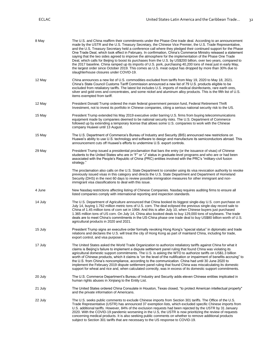| 8 May   | The U.S. and China reaffirm their commitments under the Phase-One trade deal. According to an announcement<br>made by the USTR and the U.S. Treasury Secretary, the Chinese Vice Premier, the U.S. Trade Representative,<br>and the U.S. Treasury Secretary held a conference call where they pledged their continued support for the Phase<br>One Trade Deal, which took effect in February. In confirmation, China's Commerce Ministry released a statement<br>saying that the two sides agreed to improve the atmosphere for the implementation of the Phase One Trade<br>Deal, which calls for Beijing to boost its purchases from the U.S. by US\$200 billion, over two years, compared to<br>the 2017 baseline. China ramped up its imports of U.S. pork, purchasing 40,200 tons of meat just in early May,<br>the largest order since October 2019. This comes as U.S. meat output has dropped by more than 30% due to<br>slaughterhouse closures under COVID-19. |
|---------|--------------------------------------------------------------------------------------------------------------------------------------------------------------------------------------------------------------------------------------------------------------------------------------------------------------------------------------------------------------------------------------------------------------------------------------------------------------------------------------------------------------------------------------------------------------------------------------------------------------------------------------------------------------------------------------------------------------------------------------------------------------------------------------------------------------------------------------------------------------------------------------------------------------------------------------------------------------------------|
| 12 May  | China announces a new list of U.S. commodities excluded from tariffs from May 19, 2020 to May 18, 2021.<br>China's State Council Customs Tariff Commission announced a new list of 79 U.S. products eligible to be<br>excluded from retaliatory tariffs. The latest list includes U.S. imports of medical disinfectants, rare earth ores,<br>silver and gold ores and concentrates, and some nickel and aluminum alloy products. This is the fifth list of U.S.<br>items exempted from tariff.                                                                                                                                                                                                                                                                                                                                                                                                                                                                           |
| 12 May  | President Donald Trump ordered the main federal government pension fund, Federal Retirement Thrift<br>Investment, not to invest its portfolio in Chinese companies, citing a serious national security risk to the US.                                                                                                                                                                                                                                                                                                                                                                                                                                                                                                                                                                                                                                                                                                                                                   |
| 15 May  | President Trump extended his May 2019 executive order barring U.S. firms from buying telecommunications<br>equipment made by companies deemed to be national security risks. The U.S. Department of Commerce<br>followed up by extending a temporary license that allows some U.S. companies to work with the Chinese<br>company Huawei until 13 August.                                                                                                                                                                                                                                                                                                                                                                                                                                                                                                                                                                                                                 |
| 15 May  | The U.S. Department of Commerce's Bureau of Industry and Security (BIS) announced new restrictions on<br>Huawei's ability to use U.S. technology and software to design and manufacture its semiconductors abroad. This<br>announcement cuts off Huawei's efforts to undermine U.S. export controls.                                                                                                                                                                                                                                                                                                                                                                                                                                                                                                                                                                                                                                                                     |
| 29 May  | President Trump issued a presidential proclamation that bars the entry (or the issuance of visas) of Chinese<br>students to the United States who are in "F" or "J" status in graduate-level programs and who are or had been<br>associated with the People's Republic of China (PRC) entities involved with the PRC's "military-civil fusion<br>strategy."                                                                                                                                                                                                                                                                                                                                                                                                                                                                                                                                                                                                              |
|         | The proclamation also calls on the U.S. State Department to consider using its visa revocation authority to revoke<br>previously issued visas in this category and directs the U.S. State Department and Department of Homeland<br>Security (DHS) in the next 60 days to review possible immigration measures for other immigrant and non-<br>immigrant visa classifications to deal with this issue.                                                                                                                                                                                                                                                                                                                                                                                                                                                                                                                                                                    |
| 4 June  | New Nasdaq restrictions affecting listing of Chinese Companies. Nasdaq requires auditing firms to ensure all<br>listed companies comply with international reporting and inspection standards.                                                                                                                                                                                                                                                                                                                                                                                                                                                                                                                                                                                                                                                                                                                                                                           |
| 14 July | The U.S. Department of Agriculture announced that China booked its biggest single-day U.S. corn purchase on<br>July 14, buying 1.762 million metric tons of U.S. corn. The deal eclipsed the previous single-day record sale to<br>China of 1.45 million tons of corn set in 1994. And this is after July 10, when Chinese buyers just purchased<br>1.365 million tons of US corn. On July 14, China also booked deals to buy 129,000 tons of soybeans. The trade<br>deals are to meet China's commitments in the US-China phase one trade deal to buy US\$80 billion worth of U.S.<br>agricultural products in 2020 and 2021.                                                                                                                                                                                                                                                                                                                                           |
| 15 July | President Trump signs an executive order formally revoking Hong Kong's "special status" in diplomatic and trade<br>relations and declares the U.S. will treat the city of Hong Kong as part of mainland China, including for trade,<br>export control, and visa purposes.                                                                                                                                                                                                                                                                                                                                                                                                                                                                                                                                                                                                                                                                                                |
| 17 July | The United States asked the World Trade Organization to authorize retaliatory tariffs against China for what it<br>claims is Beijing's failure to implement a dispute settlement panel ruling that found China was violating its<br>agricultural domestic support commitments. The U.S. is asking the WTO to authorize tariffs on US\$1.3 billion<br>worth of Chinese products, which it claims is "on the level of the nullification or impairment of benefits accruing" to<br>the U.S. from China's noncompliance, according to the communication. China had until 30 June 2020 to<br>implement the February 2019 dispute settlement panel ruling that found China was miscalculating its domestic<br>support for wheat and rice and, when calculated correctly, was in excess of its domestic support commitments.                                                                                                                                                    |
| 20 July | The U.S. Commerce Department's Bureau of Industry and Security adds eleven Chinese entities implicated in<br>human rights abuses in Xinjiang to the Entity List.                                                                                                                                                                                                                                                                                                                                                                                                                                                                                                                                                                                                                                                                                                                                                                                                         |
| 21 July | The United States ordered China Consulate in Houston, Texas closed, "to protect American intellectual property"<br>and the private information of Americans.                                                                                                                                                                                                                                                                                                                                                                                                                                                                                                                                                                                                                                                                                                                                                                                                             |
| 22 July | The U.S. seeks public comments to exclude Chinese imports from Section 301 tariffs. The Office of the U.S.<br>Trade Representative (USTR) has announced 37 exemption lists, which excluded specific Chinese imports from<br>U.S. additional tariffs. However, 84% of the exclusion requests had been rejected by the USTR by 31 January<br>2020. With the COVID-19 pandemic worsening in the U.S, the USTR is now prioritizing the review of requests<br>concerning medical products. It is also seeking public comments on whether to remove additional products<br>subject to Section 301 tariffs that are necessary to the US response to COVID-19.                                                                                                                                                                                                                                                                                                                   |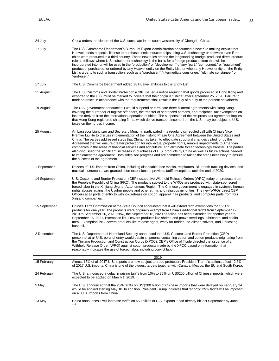| 24 July      | China orders the closure of the U.S. consulate in the south-western city of Chengdu, China.                                                                                                                                                                                                                                                                                                                                                                                                                                                                                                                                                                                                                                                                                                                                                         |
|--------------|-----------------------------------------------------------------------------------------------------------------------------------------------------------------------------------------------------------------------------------------------------------------------------------------------------------------------------------------------------------------------------------------------------------------------------------------------------------------------------------------------------------------------------------------------------------------------------------------------------------------------------------------------------------------------------------------------------------------------------------------------------------------------------------------------------------------------------------------------------|
| 17 July      | The U.S. Commerce Department's Bureau of Export Administration announced a new rule making explicit that<br>Huawei needs a special license to purchase semiconductor chips using U.S. technology or software even if the<br>chips were produced in a third country. These new rules amend the longstanding foreign-produced direct product<br>rule as follows: where U.S. software or technology is the basis for a foreign-produced item that will be<br>incorporated into, or will be used in the "production" or "development" of any "part," "component," or "equipment"<br>produced, purchased, or ordered by any Huawei entity on the Entity List; or when any Huawei entity on the Entity<br>List is a party to such a transaction, such as a "purchaser," "intermediate consignee," "ultimate consignee," or<br>"end-user."                 |
| 17 July      | The U.S. Commerce Department added 38 Huawei affiliates to the Entity List.                                                                                                                                                                                                                                                                                                                                                                                                                                                                                                                                                                                                                                                                                                                                                                         |
| 11 August    | The U.S. Customs and Border Protection (CBP) issued a notice requiring that goods produced in Hong Kong and<br>exported to the U.S. must be marked to indicate that their origin is "China" after September 25, 2020. Failure to<br>mark an article in accordance with the requirements shall result in the levy of a duty of ten percent ad valorem.                                                                                                                                                                                                                                                                                                                                                                                                                                                                                               |
| 19 August    | The U.S. government announced it would suspend or terminate three bilateral agreements with Hong Kong,<br>covering the surrender of fugitive offenders, the transfer of sentenced persons, and reciprocal tax exemptions on<br>income derived from the international operation of ships. The suspension of the reciprocal tax agreement implies<br>that Hong Kong-registered shipping firms, which derive transport income from the U.S., may be subject to U.S.<br>taxes on their gross income.                                                                                                                                                                                                                                                                                                                                                    |
| 25 August    | Ambassador Lighthizer and Secretary Mnuchin participated in a regularly scheduled call with China's Vice<br>Premier Liu He to discuss implementation of the historic Phase One Agreement between the United States and<br>China. The parties addressed steps that China has taken to effectuate structural changes called for by the<br>Agreement that will ensure greater protection for intellectual property rights, remove impediments to American<br>companies in the areas of financial services and agriculture, and eliminate forced technology transfer. The parties<br>also discussed the significant increases in purchases of U.S. products by China as well as future actions needed<br>to implement the agreement. Both sides see progress and are committed to taking the steps necessary to ensure<br>the success of the agreement. |
| 1 September  | Dozens of U.S. imports from China, including disposable face masks, respirators, Bluetooth tracking devices, and<br>musical instruments, are granted short extensions to previous tariff exemptions until the end of 2020.                                                                                                                                                                                                                                                                                                                                                                                                                                                                                                                                                                                                                          |
| 14 September | U.S. Customs and Border Protection (CBP) issued five Withhold Release Orders (WRO) today on products from<br>the People's Republic of China (PRC). The products subject to the WROs are produced with state-sponsored<br>forced labor in the Xinjiang Uyghur Autonomous Region. The Chinese government is engaged in systemic human<br>rights abuses against the Uyghur people and other ethnic and religious minorities. The new WROs direct CBP<br>Officers at all ports of entry to withhold release on cotton, apparel, hair products, and computer parts from four<br>Xinjiang companies.                                                                                                                                                                                                                                                      |
| 15 September | China's Tariff Commission of the State Council announced that it will extend tariff exemptions for 16 U.S.<br>products for one year. The products were originally exempt from China's additional tariffs from September 17,<br>2019 to September 16, 2020. Now, the September 16, 2020 deadline has been extended for another year to<br>September 16, 2021. Exemption list 1 covers products like shrimp and prawn seedlings, lubricants, and alfalfa<br>meal. Exemption list 2 covers products like release agent, whey for fodder, Iso-alkane solvent, and lubricating<br>base oil.                                                                                                                                                                                                                                                              |
| 2 December   | The U.S. Department of Homeland Security announced that U.S. Customs and Border Protection (CBP)<br>personnel at all U.S. ports of entry would detain shipments containing cotton and cotton products originating from<br>the Xinjiang Production and Construction Corps (XPCC). CBP's Office of Trade directed the issuance of a<br>Withhold Release Order (WRO) against cotton products made by the XPCC based on information that<br>reasonably indicates the use of forced labor, including convict labor.                                                                                                                                                                                                                                                                                                                                      |
|              | 2019                                                                                                                                                                                                                                                                                                                                                                                                                                                                                                                                                                                                                                                                                                                                                                                                                                                |
| 15 February  | Almost 15% of all 2017 U.S. imports are now subject to trade protection, President Trump's actions affect 12.6%<br>of 2017 U.S. imports. China is one of the biggest targets together with Canada, Mexico, the EU and South Korea.                                                                                                                                                                                                                                                                                                                                                                                                                                                                                                                                                                                                                  |
| 24 February  | The U.S. announced a delay in raising tariffs from 10% to 25% on US\$200 billion of Chinese imports, which were<br>expected to be applied on March 1, 2019.                                                                                                                                                                                                                                                                                                                                                                                                                                                                                                                                                                                                                                                                                         |
| 5 May        | The U.S. announced that the 25% tariffs on US\$200 billion of Chinese imports that were delayed on February 24<br>would be applied starting May 10. In addition, President Trump indicates that "shortly" 25% tariffs will be imposed<br>on all U.S. imports from China.                                                                                                                                                                                                                                                                                                                                                                                                                                                                                                                                                                            |
| 13 May       | China announces it will increase tariffs on \$60 billion of U.S. exports it had already hit last September by June<br>$1^{\rm st}$ .                                                                                                                                                                                                                                                                                                                                                                                                                                                                                                                                                                                                                                                                                                                |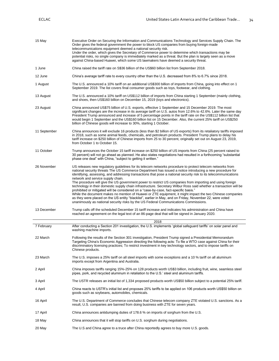| 15 May       | Executive Order on Securing the Information and Communications Technology and Services Supply Chain. The<br>Order gives the federal government the power to block US companies from buying foreign-made<br>telecommunications equipment deemed a national security risk.<br>Under the order, which gives the Secretary of Commerce power to determine which transactions may be<br>potential risks, no single company is immediately marked as a threat. But the plan is largely seen as a move<br>against China-based Huawei, which some US lawmakers have deemed a security threat.                                                                                                                                                                                                                                                                                                                                                                                                                                      |  |  |  |
|--------------|----------------------------------------------------------------------------------------------------------------------------------------------------------------------------------------------------------------------------------------------------------------------------------------------------------------------------------------------------------------------------------------------------------------------------------------------------------------------------------------------------------------------------------------------------------------------------------------------------------------------------------------------------------------------------------------------------------------------------------------------------------------------------------------------------------------------------------------------------------------------------------------------------------------------------------------------------------------------------------------------------------------------------|--|--|--|
| 1 June       | China raised the tariff rate on S\$36 billion of the US\$60 billion list from September 2018.                                                                                                                                                                                                                                                                                                                                                                                                                                                                                                                                                                                                                                                                                                                                                                                                                                                                                                                              |  |  |  |
| 12 June      | China's average tariff rate to every country other than the U.S. decreased from 8% to 6.7% since 2018.                                                                                                                                                                                                                                                                                                                                                                                                                                                                                                                                                                                                                                                                                                                                                                                                                                                                                                                     |  |  |  |
| 1 August     | The U.S. announced a 10% tariff on an additional US\$300 billion of imports from China, going into effect on 1<br>September 2019. The list covers final consumer goods such as toys, footwear, and clothing.                                                                                                                                                                                                                                                                                                                                                                                                                                                                                                                                                                                                                                                                                                                                                                                                               |  |  |  |
| 13 August    | The U.S. announced a 10% tariff on US\$112 billion of imports from China starting 1 September (mainly clothing,<br>and shoes, then US\$160 billion on December 15, 2019 (toys and electronics).                                                                                                                                                                                                                                                                                                                                                                                                                                                                                                                                                                                                                                                                                                                                                                                                                            |  |  |  |
| 23 August    | China announced US\$75 billion of U.S. exports, effective 1 September and 15 December 2019. The most<br>significant changes are the increase in its average tariff on U.S. autos from 12.6% to 42.6%. Later the same day<br>President Trump announced and increase of 5 percentage points in the tariff rate on the US\$112 billion list that<br>would begin 1 September and the US\$160 billion list on 15 December. Also, the current 25% tariff on US\$250<br>billion of Chinese goods will increase to 30%, starting 1 October.                                                                                                                                                                                                                                                                                                                                                                                                                                                                                        |  |  |  |
| 11 September | China announces it will exclude 16 products (less than \$2 billion of US exports) from its retaliatory tariffs imposed<br>in 2018, such as some animal feeds, chemicals, and petroleum products. President Trump plans to delay his<br>tariff increase on \$250 billion of Chinese imports from 25 to 30 percent, originally set out on August 23, 2019,<br>from October 1 to October 15.                                                                                                                                                                                                                                                                                                                                                                                                                                                                                                                                                                                                                                  |  |  |  |
| 11 October   | Trump announces the October 15 tariff increase on \$250 billion of US imports from China (25 percent raised to<br>30 percent) will not go ahead as planned. He also states negotiations had resulted in a forthcoming "substantial<br>phase one deal" with China, "subject to getting it written."                                                                                                                                                                                                                                                                                                                                                                                                                                                                                                                                                                                                                                                                                                                         |  |  |  |
| 26 November  | US releases new regulatory guidelines for its telecom networks procedure to protect telecom networks from<br>national security threats The US Commerce Department has issued a notice introducing a new procedure for<br>identifying, assessing, and addressing transactions that pose a national security risk to its telecommunications<br>network and service supply chain.<br>The procedure will give the US government power to restrict US companies from importing and using foreign<br>technology in their domestic supply chain infrastructure. Secretary Wilbur Ross said whether a transaction will be<br>prohibited or mitigated will be considered on a "case-by-case, fact-specific basis."<br>While the document makes no mention of Huawei or ZTE equipment, it might impact the two Chinese companies<br>as they were placed on the US entity "blacklist", earlier in May, and on Friday, November 22, were voted<br>unanimously as national security risks by the US Federal Communications Commissions. |  |  |  |
| 13 December  | Trump calls off the scheduled December 15 tariff increase and indicates his administration and China have<br>reached an agreement on the legal text of an 86-page deal that will be signed in January 2020.                                                                                                                                                                                                                                                                                                                                                                                                                                                                                                                                                                                                                                                                                                                                                                                                                |  |  |  |
|              | 2018                                                                                                                                                                                                                                                                                                                                                                                                                                                                                                                                                                                                                                                                                                                                                                                                                                                                                                                                                                                                                       |  |  |  |
| 7 February   | After conducting a Section 201 investigation, the U.S. implements 'global safeguard tariffs' on solar panel and<br>washing machine imports.                                                                                                                                                                                                                                                                                                                                                                                                                                                                                                                                                                                                                                                                                                                                                                                                                                                                                |  |  |  |
| 22 March     | Following the results of the Section 301 investigation, President Trump signed a Presidential Memorandum<br>Targeting China's Economic Aggression directing the following acts: To file a WTO case against China for their<br>discriminatory licensing practices; To restrict investment in key technology sectors, and to impose tariffs on<br>Chinese products.                                                                                                                                                                                                                                                                                                                                                                                                                                                                                                                                                                                                                                                          |  |  |  |
| 23 March     | The U.S. imposes a 25% tariff on all steel imports with some exceptions and a 10 % tariff on all aluminum<br>imports except from Argentina and Australia.                                                                                                                                                                                                                                                                                                                                                                                                                                                                                                                                                                                                                                                                                                                                                                                                                                                                  |  |  |  |
| 2 April      | China imposes tariffs ranging 15%-25% on 128 products worth US\$3 billion, including fruit, wine, seamless steel<br>pipes, pork, and recycled aluminum in retaliation to the U.S.' steel and aluminum tariffs.                                                                                                                                                                                                                                                                                                                                                                                                                                                                                                                                                                                                                                                                                                                                                                                                             |  |  |  |
| 3 April      | The USTR releases an initial list of 1,334 proposed products worth US\$50 billion subject to a potential 25% tariff.                                                                                                                                                                                                                                                                                                                                                                                                                                                                                                                                                                                                                                                                                                                                                                                                                                                                                                       |  |  |  |
| 4 April      | China reacts to USTR's initial list and proposes 25% tariffs to be applied on 106 products worth US\$50 billion on<br>goods such as soybeans, automobiles, chemicals.                                                                                                                                                                                                                                                                                                                                                                                                                                                                                                                                                                                                                                                                                                                                                                                                                                                      |  |  |  |
| 16 April     | The U.S. Department of Commerce concludes that Chinese telecom company ZTE violated U.S. sanctions. As a<br>result, U.S. companies are banned from doing business with ZTE for seven years.                                                                                                                                                                                                                                                                                                                                                                                                                                                                                                                                                                                                                                                                                                                                                                                                                                |  |  |  |
| 17 April     | China announces antidumping duties of 178.6 % on imports of sorghum from the U.S.                                                                                                                                                                                                                                                                                                                                                                                                                                                                                                                                                                                                                                                                                                                                                                                                                                                                                                                                          |  |  |  |
| 18 May       | China announces that it will stop tariffs on U.S. sorghum during negotiations.                                                                                                                                                                                                                                                                                                                                                                                                                                                                                                                                                                                                                                                                                                                                                                                                                                                                                                                                             |  |  |  |
| 20 May       | The U.S and China agree to a truce after China reportedly agrees to buy more U.S. goods.                                                                                                                                                                                                                                                                                                                                                                                                                                                                                                                                                                                                                                                                                                                                                                                                                                                                                                                                   |  |  |  |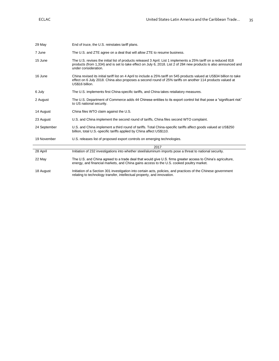| 29 May       | End of truce, the U.S. reinstates tariff plans.                                                                                                                                                                                                              |
|--------------|--------------------------------------------------------------------------------------------------------------------------------------------------------------------------------------------------------------------------------------------------------------|
| 7 June       | The U.S. and ZTE agree on a deal that will allow ZTE to resume business.                                                                                                                                                                                     |
| 15 June      | The U.S. revises the initial list of products released 3 April. List 1 implements a 25% tariff on a reduced 818<br>products (from 1,334) and is set to take effect on July 6, 2018. List 2 of 284 new products is also announced and<br>under consideration. |
| 16 June      | China revised its initial tariff list on 4 April to include a 25% tariff on 545 products valued at US\$34 billion to take<br>effect on 6 July 2018. China also proposes a second round of 25% tariffs on another 114 products valued at<br>US\$16 billion.   |
| 6 July       | The U.S. implements first China-specific tariffs, and China takes retaliatory measures.                                                                                                                                                                      |
| 2 August     | The U.S. Department of Commerce adds 44 Chinese entities to its export control list that pose a "significant risk"<br>to US national security.                                                                                                               |
| 14 August    | China files WTO claim against the U.S.                                                                                                                                                                                                                       |
| 23 August    | U.S. and China implement the second round of tariffs, China files second WTO complaint.                                                                                                                                                                      |
| 24 September | U.S. and China implement a third round of tariffs. Total China-specific tariffs affect goods valued at US\$250<br>billion, total U.S.-specific tariffs applied by China affect US\$110.                                                                      |
| 19 November  | U.S. releases list of proposed export controls on emerging technologies.                                                                                                                                                                                     |
|              | 2017                                                                                                                                                                                                                                                         |
| 28 April     | Initiation of 232 investigations into whether steel/aluminum imports pose a threat to national security.                                                                                                                                                     |
| 22 May       | The U.S. and China agreed to a trade deal that would give U.S. firms greater access to China's agriculture,<br>energy, and financial markets, and China gains access to the U.S. cooked poultry market.                                                      |
| 18 August    | Initiation of a Section 301 investigation into certain acts, policies, and practices of the Chinese government                                                                                                                                               |

relating to technology transfer, intellectual property, and innovation.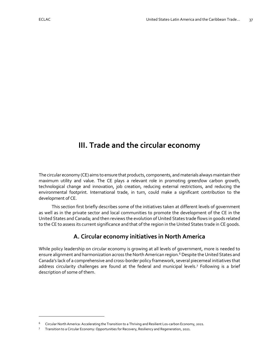# <span id="page-37-0"></span>**III. Trade and the circular economy**

The circular economy (CE) aims to ensure that products, components, and materials always maintain their maximum utility and value. The CE plays a relevant role in promoting green/low carbon growth, technological change and innovation, job creation, reducing external restrictions, and reducing the environmental footprint. International trade, in turn, could make a significant contribution to the development of CE.

This section first briefly describes some of the initiatives taken at different levels of government as well as in the private sector and local communities to promote the development of the CE in the United States and Canada; and then reviews the evolution of United States trade flows in goods related to the CE to assess its current significance and that of the region in the United States trade in CE goods.

## **A. Circular economy initiatives in North America**

<span id="page-37-1"></span>While policy leadership on circular economy is growing at all levels of government, more is needed to ensure alignment and harmonization across the North American region.<sup>6</sup> Despite the United States and Canada's lack of a comprehensive and cross-border policy framework, several piecemeal initiatives that address circularity challenges are found at the federal and municipal levels.<sup>7</sup> Following is a brief description of some of them.

<sup>6</sup> Circular North America: Accelerating the Transition to a Thriving and Resilient Los-carbon Economy, 2021.

<sup>7</sup> Transition to a Circular Economy: Opportunities for Recovery, Resiliency and Regeneration, 2021.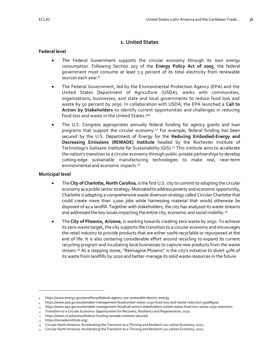## **1. United States**

#### <span id="page-38-0"></span>**Federal level**

- The Federal Government supports the circular economy through its own energy consumption. Following Section 203 of the **Energy Policy Act of 2005**, the federal government must consume at least 7.5 percent of its total electricity from renewable sources each year.<sup>8</sup>
- The Federal Government, led by the Environmental Protection Agency (EPA) and the United States Department of Agriculture (USDA), works with communities, organizations, businesses, and state and local governments to reduce food loss and waste by 50 percent by 2030. In collaboration with USDA, the EPA launched a **Call to Action by Stakeholders** to identify current opportunities and challenges in reducing food loss and waste in the United States. 910
- The U.S. Congress appropriates annually federal funding for agency grants and loan programs that support the circular economy.<sup>11</sup> For example, federal funding has been secured by the U.S. Department of Energy for the **Reducing Embodied-Energy and Decreasing Emissions (REMADE) Institute** headed by the Rochester Institute of Technology's Golisano Institute for Sustainability (GIS).<sup>12</sup> This institute aims to accelerate the nation's transition to a circular economy through public-private partnerships to develop cutting-edge sustainable manufacturing technologies to make real, near-term environmental and economic impacts.<sup>13</sup>

#### **Municipal level**

- The **City of Charlotte, North Carolina**, is the first U.S. city to commit to adopting the circular economy as a public sector strategy. Motivated to address poverty and economic opportunity, Charlotte is adopting a comprehensive waste diversion strategy called Circular Charlotte that could create more than 2,000 jobs while harnessing material that would otherwise be disposed of as a landfill. Together with stakeholders, the city has analyzed its waste streams and addressed the key issues impacting the entire city, economic and social mobility.<sup>14</sup>
- The **City of Phoenix, Arizona**, is working towards creating zero waste by 2050. To achieve its zero-waste target, the city supports the transition to a circular economy and encourages the retail industry to provide products that are either 100% recyclable or repurposed at the end of life. It is also centering considerable effort around recycling to expand its current recycling program and incubating local businesses to capture new products from the waste stream.<sup>15</sup> As a stepping stone, "Reimagine Phoenix" is the city's initiative to divert  $40\%$  of its waste from landfills by 2020 and better-manage its solid waste resources in the future.

<sup>8</sup> [https://www.energy.gov/eere/femp/federal-agency-use-renewable-electric-energy.](https://www.energy.gov/eere/femp/federal-agency-use-renewable-electric-energy)

<sup>9</sup> [https://www.epa.gov/sustainable-management-food/united-states-2030-food-loss-and-waste-reduction-goal#goal.](https://www.epa.gov/sustainable-management-food/united-states-2030-food-loss-and-waste-reduction-goal#goal)

<sup>10</sup> [https://www.epa.gov/sustainable-management-food/call-action-stakeholders-united-states-food-loss-waste-2030-reduction.](https://www.epa.gov/sustainable-management-food/call-action-stakeholders-united-states-food-loss-waste-2030-reduction)

<sup>11</sup> Transition to a Circular Economy: Opportunities for Recovery, Resiliency and Regeneration, 2021.

<sup>12</sup> [https://www.rit.edu/news/federal-funding-remade-institute-secured.](https://www.rit.edu/news/federal-funding-remade-institute-secured)

<sup>13</sup> [https://remadeinstitute.org/.](https://remadeinstitute.org/)

<sup>&</sup>lt;sup>14</sup> Circular North America: Accelerating the Transition to a Thriving and Resilient Los-carbon Economy, 2021.

<sup>&</sup>lt;sub>15</sub> Circular North America: Accelerating the Transition to a Thriving and Resilient Los-carbon Economy, 2021.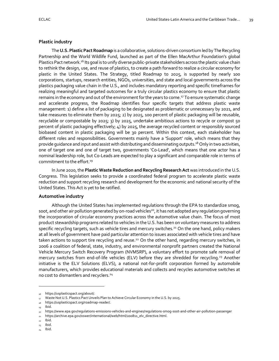#### **Plastic industry**

The **U.S. Plastic Pact Roadmap** is a collaborative, solutions-driven consortium led by The Recycling Partnership and the World Wildlife Fund, launched as part of the Ellen MacArthur Foundation's global Plastics Pact network.<sup>16</sup> Its goal is to unify diverse public-private stakeholders across the plastic value chain to rethink the design, use, and reuse of plastics, to create a path forward to realize a circular economy for plastic in the United States. The Strategy, titled Roadmap to 2025, is supported by nearly 100 corporations, startups, research entities, NGOs, universities, and state and local governments across the plastics packaging value chain in the U.S., and includes mandatory reporting and specific timeframes for realizing meaningful and targeted outcomes for a truly circular plastics economy to ensure that plastic remains in the economy and out of the environment for the years to come.<sup>17</sup> To ensure systematic change and accelerate progress, the Roadmap identifies four specific targets that address plastic waste management: 1) define a list of packaging to be designated as problematic or unnecessary by 2021, and take measures to eliminate them by 2025; 2) by 2025, 100 percent of plastic packaging will be reusable, recyclable or compostable by 2025; 3) by 2025, undertake ambitious actions to recycle or compost 50 percent of plastic packaging effectively; 4) by 2025, the average recycled content or responsibly sourced biobased content in plastic packaging will be 30 percent. Within this context, each stakeholder has different roles and responsibilities. Governments mainly have a 'Support' role, which means that they provide quidance and input and assist with distributing and disseminating outputs.<sup>18</sup> Only in two activities, one of target one and one of target two, governments 'Co-Lead', which means that one actor has a nominal leadership role, but Co-Leads are expected to play a significant and comparable role in terms of commitment to the effort.<sup>19</sup>

In June 2020, the **Plastic Waste Reduction and Recycling Research Act** was introduced in the U.S. Congress. This legislation seeks to provide a coordinated federal program to accelerate plastic waste reduction and support recycling research and development for the economic and national security of the United States. This Act is yet to be ratified.

#### **Automotive industry**

Although the United States has implemented regulations through the EPA to standardize smog, soot, and other air pollution generated by on-road vehicles<sup>20</sup>, it has not adopted any regulation governing the incorporation of circular economy practices across the automotive value chain. The focus of most product stewardship programs related to vehicles in the U.S. has been on voluntary measures to address specific recycling targets, such as vehicle tires and mercury switches.<sup>21</sup> On the one hand, policy makers at all levels of government have paid particular attention to issues associated with vehicle tires and have taken actions to support tire recycling and reuse.<sup>22</sup> On the other hand, regarding mercury switches, in 2006 a coalition of federal, state, industry, and environmental nonprofit partners created the National Vehicle Mercury Switch Recovery Program (NVMSRP), a voluntary effort to promote safe removal of mercury switches from end-of-life vehicles (ELV) before they are shredded for recycling.<sup>23</sup> Another initiative is the ELV Solutions (ELVS), a national not-for-profit corporation formed by automobile manufacturers, which provides educational materials and collects and recycles automotive switches at no cost to dismantlers and recyclers.<sup>24</sup>

<sup>16</sup> [https://usplasticspact.org/about/.](https://usplasticspact.org/about/)

<sup>17</sup> Waste Not U.S. Plastics Pact Unveils Plan to Achieve Circular Economy in the U.S. by 2025.

[https://usplasticspact.org/roadmap-reader/.](https://usplasticspact.org/roadmap-reader/)

<sup>19</sup> Ibid.

<sup>20</sup> <https://www.epa.gov/regulations-emissions-vehicles-and-engines/regulations-smog-soot-and-other-air-pollution-passenger>

<sup>21</sup> [https://archive.epa.gov/oswer/international/web/html/200811\\_elv\\_directive.html.](https://archive.epa.gov/oswer/international/web/html/200811_elv_directive.html)

 $22$  Ibid.

 $_{23}$  Ibid.

 $_{24}$  [Ibid.](https://archive.epa.gov/oswer/international/web/html/200811_elv_directive.html)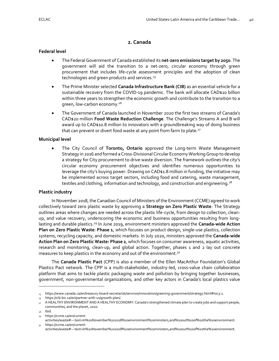## **2. Canada**

#### <span id="page-40-0"></span>**Federal level**

- The Federal Government of Canada established its **net-zero emissions target by 2050**. The government will aid the transition to a net-zero, circular economy through green procurement that includes life-cycle assessment principles and the adoption of clean technologies and green products and services.<sup>25</sup>
- The Prime Minister selected **Canada Infrastructure Bank (CIB)** as an essential vehicle for a sustainable recovery from the COVID-19 pandemic. The bank will allocate CAD\$10 billion within three years to strengthen the economic growth and contribute to the transition to a green, low-carbon economy.<sup>26</sup>
- The Government of Canada launched in November 2020 the first two streams of Canada's CAD\$20 million **Food Waste Reduction Challenge**. The Challenge's Streams A and B will award up to CAD\$10.8 million to innovators with a groundbreaking way of doing business that can prevent or divert food waste at any point from farm to plate.<sup>27</sup>

#### **Municipal level**

• The City Council of **Toronto, Ontario** approved the Long-term Waste Management Strategy in 2016 and formed a Cross-Divisional Circular Economy Working Group to develop a strategy for City procurement to drive waste diversion. The framework outlines the city's circular economy procurement objectives and identifies numerous opportunities to leverage the city's buying power. Drawing on CAD\$1.8 million in funding, the initiative may be implemented across target sectors, including food and catering, waste management, textiles and clothing, information and technology, and construction and engineering.<sup>28</sup>

#### **Plastic industry**

In November 2018, the Canadian Council of Ministers of the Environment (CCME) agreed to work collectively toward zero plastic waste by approving a **Strategy on Zero Plastic Waste**. The Strategy outlines areas where changes are needed across the plastic life-cycle, from design to collection, cleanup, and value recovery, underscoring the economic and business opportunities resulting from longlasting and durable plastics.<sup>29</sup> In June 2019, environment ministers approved the **Canada-wide Action Plan on Zero Plastic Waste**: **Phase 1**, which focuses on product design, single-use plastics, collection systems, recycling capacity, and domestic markets. In July 2020, ministers approved the **Canada-wide Action Plan on Zero Plastic Waste: Phase 2**, which focuses on consumer awareness, aquatic activities, research and monitoring, clean-up, and global action. Together, phases 1 and 2 lay out concrete measures to keep plastics in the economy and out of the environment.<sup>30</sup>

The **Canada Plastic Pact** (CPP) is also a member of the Ellen MacArthur Foundation's Global Plastics Pact network. The CPP is a multi-stakeholder, industry-led, cross-value chain collaboration platform that aims to tackle plastic packaging waste and pollution by bringing together businesses, government, non-governmental organizations, and other key actors in Canada's local plastics value

<sup>25</sup> [https://www.canada.ca/en/treasury-board-secretariat/services/innovation/greening-government/strategy.html#toc3-1.](https://www.canada.ca/en/treasury-board-secretariat/services/innovation/greening-government/strategy.html#toc3-1)

[https://cib-bic.ca/en/partner-with-us/growth-plan/.](https://cib-bic.ca/en/partner-with-us/growth-plan/)

<sup>&</sup>lt;sub>27</sub> A HEALTHY ENVIRONMENT AND A HEALTHY ECONOMY: Canada's strengthened climate plan to create jobs and support people, communities, and the planet, 2020.

Ibid.

[https://ccme.ca/en/current-](https://ccme.ca/en/current-activities/waste#:~:text=In%20November%202018%20environment%20ministers,and%20out%20of%20the%20environment)

[activities/waste#:~:text=In%20November%202018%20environment%20ministers,and%20out%20of%20the%20environment.](https://ccme.ca/en/current-activities/waste#:~:text=In%20November%202018%20environment%20ministers,and%20out%20of%20the%20environment) <sup>30</sup> [https://ccme.ca/en/current-](https://ccme.ca/en/current-activities/waste#:~:text=In%20November%202018%20environment%20ministers,and%20out%20of%20the%20environment)

[activities/waste#:~:text=In%20November%202018%20environment%20ministers,and%20out%20of%20the%20environment.](https://ccme.ca/en/current-activities/waste#:~:text=In%20November%202018%20environment%20ministers,and%20out%20of%20the%20environment)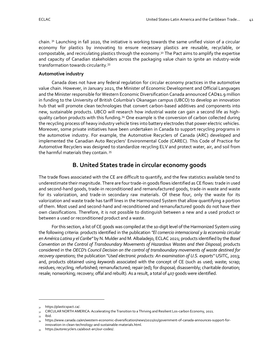chain.  $31$  Launching in fall 2020, the initiative is working towards the same unified vision of a circular economy for plastics by innovating to ensure necessary plastics are reusable, recyclable, or compostable, and recirculating plastics through the economy.<sup>32</sup> The Pact aims to amplify the expertise and capacity of Canadian stakeholders across the packaging value chain to ignite an industry-wide transformation towards circularity.<sup>33</sup>

#### **Automotive industry**

Canada does not have any federal regulation for circular economy practices in the automotive value chain. However, in January 2021, the Minister of Economic Development and Official Languages and the Minister responsible for Western Economic Diversification Canada announced CAD\$1.9 million in funding to the University of British Columbia's Okanagan campus (UBCO) to develop an innovation hub that will promote clean technologies that convert carbon-based additives and components into new, sustainable products. UBCO will research how industrial waste can gain a second life as highquality carbon products with this funding.<sup>34</sup> One example is the conversion of carbon collected during the recycling process of heavy industry vehicle tires into battery electrodes that power electric vehicles. Moreover, some private initiatives have been undertaken in Canada to support recycling programs in the automotive industry. For example, the Automotive Recyclers of Canada (ARC) developed and implemented the Canadian Auto Recyclers' Environmental Code (CAREC). This Code of Practice for Automotive Recyclers was designed to standardize recycling ELV and protect water, air, and soil from the harmful materials they contain. <sup>35</sup>

## **B. United States trade in circular economy goods**

<span id="page-41-0"></span>The trade flows associated with the CE are difficult to quantify, and the few statistics available tend to underestimate their magnitude. There are four trade-in goods flows identified as CE flows: trade in used and second-hand goods, trade-in reconditioned and remanufactured goods, trade-in waste and waste for its valorization, and trade-in secondary raw materials. Of these four, only the waste for its valorization and waste trade has tariff lines in the Harmonized System that allow quantifying a portion of them. Most used and second-hand and reconditioned and remanufactured goods do not have their own classifications. Therefore, it is not possible to distinguish between a new and a used product or between a used or reconditioned product and a waste.

For this section, a list of CE goods was compiled at the 10-digit level of the Harmonized System using the following criteria: products identified in the publication *"El comercio internacional y la economía circular en América Latina y el Caribe"* by N. Mulder and M. Albaladejo, ECLAC 2021; products identified by the *Basel Convention on the Control of Transboundary Movements of Hazardous Wastes and their Disposal*; products considered in the *OECD's Council Decision on the control of transboundary movements of waste destined for recovery operations*; the publication "*Used electronic products: An examination of U.S. exports"* USITC, 2013; and, products obtained using *keywords* associated with the concept of CE (such as used; waste; scrap; residues; recycling; refurbished; remanufactured; repair (ed); for disposal; disassembly; charitable donation; resale; nonworking; recovery; offal and rebuilt). As a result, a total of 407 goods were identified.

[https://plasticspact.ca/.](https://plasticspact.ca/)

<sup>32</sup> CIRCULAR NORTH AMERICA: Accelerating the Transition to a Thriving and Resilient Los-carbon Economy, 2021.

 $_{33}$  Ibid.

<sup>34</sup> [https://www.canada.ca/en/western-economic-diversification/news/2021/01/government-of-canada-announces-support-for](https://www.canada.ca/en/western-economic-diversification/news/2021/01/government-of-canada-announces-support-for-innovation-in-clean-technology-and-sustainable-materials.html)[innovation-in-clean-technology-and-sustainable-materials.html.](https://www.canada.ca/en/western-economic-diversification/news/2021/01/government-of-canada-announces-support-for-innovation-in-clean-technology-and-sustainable-materials.html)

<sup>35</sup> [https://autorecyclers.ca/about-arc/our-codes/.](https://autorecyclers.ca/about-arc/our-codes/)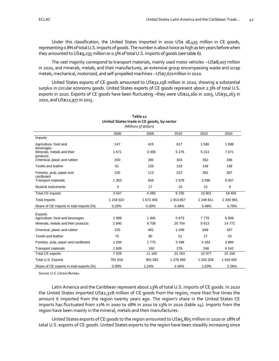Under this classification, the United States imported in 2020 US\$ 18,455 million in CE goods, representing 0.8% of total U.S. imports of goods. The number is about twice as high as ten years before when they amounted to US\$9,235 million or 0.5% of total U.S. imports of goods (see table 6).

The vast majority correspond to transport materials, mainly used motor vehicles --US\$8,007 million in 2020, and minerals, metals, and their manufactures, an extensive group encompassing waste and scrap metals, mechanical, motorized, and self-propelled machines --US\$7,671million in 2020.

United States exports of CE goods amounted to US\$32,158 million in 2020, showing a substantial surplus in circular economy goods. United States exports of CE goods represent about 2.3% of total U.S. exports in 2020. Exports of CE goods have been fluctuating –they were US\$11,160 in 2005, US\$31,263 in 2010, and US\$22,977 in 2015.

<span id="page-42-1"></span><span id="page-42-0"></span>

| (Millions of dollars)                    |             |           |           |           |           |  |
|------------------------------------------|-------------|-----------|-----------|-----------|-----------|--|
|                                          | 2000        | 2005      | 2010      | 2015      | 2020      |  |
| Imports                                  |             |           |           |           |           |  |
| Agriculture, food and<br>beverages       | 147         | 415       | 617       | 1580      | 1 6 9 8   |  |
| Minerals, metals and their<br>products   | 1 671       | 3456      | 5 2 7 6   | 5 2 1 4   | 7671      |  |
| Chemical, plasic and rubber              | 200         | 300       | 304       | 362       | 346       |  |
| <b>Textils and leather</b>               | 61          | 126       | 128       | 148       | 138       |  |
| Forestry, pulp, paper and<br>cardboard   | 105         | 113       | 222       | 391       | 587       |  |
| <b>Transport materials</b>               | 1 3 6 3     | 658       | 2678      | 3 0 9 6   | 8 0 0 7   |  |
| <b>Musical instruments</b>               | $\mathbf 0$ | 17        | 10        | 10        | 8         |  |
| Total CE imports                         | 3547        | 5 0 8 5   | 9 2 3 5   | 10 801    | 18 455    |  |
| <b>Total imports</b>                     | 1 218 022   | 1 673 455 | 1913857   | 2 248 811 | 2 335 991 |  |
| Share of CE imports in total imports (%) | 0.29%       | 0.30%     | 0.48%     | 0.48%     | 0.79%     |  |
| Exports                                  |             |           |           |           |           |  |
| Agriculture, food and beverages          | 1988        | 1945      | 5 6 7 3   | 7778      | 6 6 6 9   |  |
| Minerals, metals and their products      | 1840        | 6708      | 20754     | 9913      | 14772     |  |
| Chemical, plasic and rubber              | 225         | 491       | 1 0 4 9   | 848       | 267       |  |
| <b>Textils and leather</b>               | 75          | 80        | 51        | 27        | 25        |  |
| Forestry, pulp, paper and cardboard      | 1 2 9 4     | 1775      | 3 4 5 8   | 4 1 6 3   | 3884      |  |
| <b>Transport materials</b>               | 1 608       | 160       | 278       | 248       | 6542      |  |
| <b>Total CE exports</b>                  | 7 0 2 9     | 11 160    | 31 263    | 22 977    | 32 158    |  |
| Total U.S. Exports                       | 781 918     | 901 082   | 1 278 495 | 1 503 328 | 1 424 935 |  |
| Share of CE exports in total exports (%) | 0.90%       | 1.24%     | 2.45%     | 1.53%     | 2.26%     |  |

**Table 11 United States trade in CE goods, by sector**

Source: U.S. Census Bureau.

Latin America and the Caribbean represent about 13% of total U.S. imports of CE goods. In 2020 the United States imported US\$2,328 million of CE goods from the region, more than five times the amount it imported from the region twenty years ago. The region's share in the United States CE imports has fluctuated from 12% in 2000 to 18% in 2010 to 13% in 2020 (table 14). Imports from the region have been mainly in the mineral, metals and their manufactures.

United States exports of CE goods to the region amounted to US\$5,865 million in 2020 or 18% of total U.S. exports of CE goods. United States exports to the region have been steadily increasing since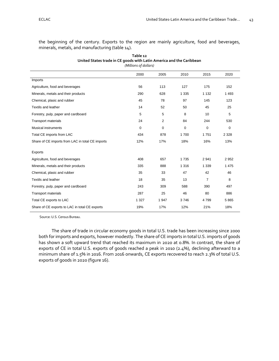the beginning of the century. Exports to the region are mainly agriculture, food and beverages, minerals, metals, and manufacturing (table 14).

<span id="page-43-1"></span><span id="page-43-0"></span>

| (Millions of dollars)                            |         |                |         |                |             |
|--------------------------------------------------|---------|----------------|---------|----------------|-------------|
|                                                  | 2000    | 2005           | 2010    | 2015           | 2020        |
| Imports                                          |         |                |         |                |             |
| Agriculture, food and beverages                  | 56      | 113            | 127     | 175            | 152         |
| Minerals, metals and their products              | 290     | 628            | 1 3 3 5 | 1 1 3 2        | 1 4 9 3     |
| Chemical, plasic and rubber                      | 45      | 78             | 97      | 145            | 123         |
| <b>Textils and leather</b>                       | 14      | 52             | 50      | 45             | 25          |
| Forestry, pulp, paper and cardboard              | 5       | 5              | 8       | 10             | 5           |
| <b>Transport materials</b>                       | 24      | $\overline{2}$ | 84      | 244            | 530         |
| <b>Musical instruments</b>                       | 0       | 0              | 0       | 0              | $\mathbf 0$ |
| Total CE imports from LAC                        | 434     | 878            | 1700    | 1751           | 2 3 2 8     |
| Share of CE imports from LAC in total CE imports | 12%     | 17%            | 18%     | 16%            | 13%         |
| <b>Exports</b>                                   |         |                |         |                |             |
| Agriculture, food and beverages                  | 408     | 657            | 1735    | 2941           | 2952        |
| Minerals, metals and their products              | 335     | 888            | 1 3 1 6 | 1 3 3 9        | 1 4 7 5     |
| Chemical, plasic and rubber                      | 35      | 33             | 47      | 42             | 46          |
| <b>Textils and leather</b>                       | 18      | 35             | 13      | $\overline{7}$ | 8           |
| Forestry, pulp, paper and cardboard              | 243     | 309            | 588     | 390            | 497         |
| <b>Transport materials</b>                       | 287     | 25             | 46      | 80             | 886         |
| Total CE exports to LAC                          | 1 3 2 7 | 1 947          | 3746    | 4799           | 5865        |
| Share of CE exports to LAC in total CE exports   | 19%     | 17%            | 12%     | 21%            | 18%         |

**Table 12 United States trade in CE goods with Latin America and the Caribbean**

Source: U.S. Census Bureau.

The share of trade in circular economy goods in total U.S. trade has been increasing since 2000 both for imports and exports, however modestly. The share of CE imports in total U.S. imports of goods has shown a soft upward trend that reached its maximum in 2020 at 0.8%. In contrast, the share of exports of CE in total U.S. exports of goods reached a peak in 2010 (2.4%), declining afterward to a minimum share of 1.5% in 2016. From 2016 onwards, CE exports recovered to reach 2.3% of total U.S. exports of goods in 2020 (figure 16).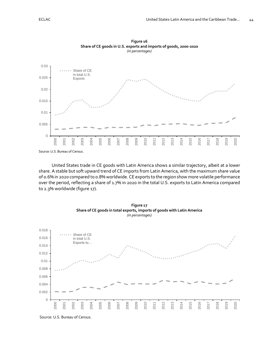<span id="page-44-1"></span><span id="page-44-0"></span>

**Figure 16 Share of CE goods in U.S. exports and imports of goods, 2000-2020** *(in percentages)*

Source: U.S. Bureau of Census.

United States trade in CE goods with Latin America shows a similar trajectory, albeit at a lower share. A stable but soft upward trend of CE imports from Latin America, with the maximum share value of 0.6% in 2020 compared to 0.8% worldwide. CE exports to the region show more volatile performance over the period, reflecting a share of 1.7% in 2020 in the total U.S. exports to Latin America compared to 2.3% worldwide (figure 17).

<span id="page-44-3"></span><span id="page-44-2"></span>

**Figure 17 Share of CE goods in total exports, imports of goods with Latin America** *(in percentages)*

Source: U.S. Bureau of Census.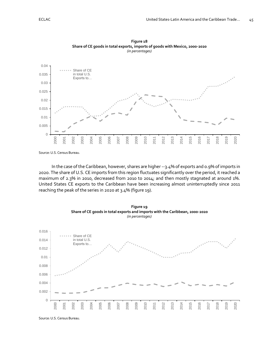<span id="page-45-1"></span><span id="page-45-0"></span>

**Figure 18 Share of CE goods in total exports, imports of goods with Mexico, 2000-2020** *(in percentages)*

Source: U.S. Census Bureau.

In the case of the Caribbean, however, shares are higher --3.4% of exports and 0.9% of imports in 2020. The share of U.S. CE imports from this region fluctuates significantly over the period, it reached a maximum of 2.3% in 2010, decreased from 2010 to 2014; and then mostly stagnated at around 1%. United States CE exports to the Caribbean have been increasing almost uninterruptedly since 2011 reaching the peak of the series in 2020 at 3.4% (figure 19).

<span id="page-45-3"></span><span id="page-45-2"></span>

**Figure 19 Share of CE goods in total exports and imports with the Caribbean, 2000-2020** *(in percentages)*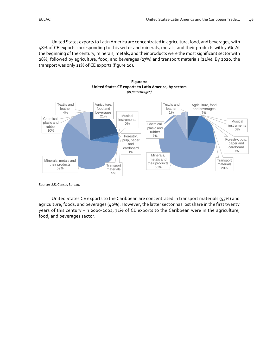United States exports to Latin America are concentrated in agriculture, food, and beverages, with 48% of CE exports corresponding to this sector and minerals, metals, and their products with 30%. At the beginning of the century, minerals, metals, and their products were the most significant sector with 28%, followed by agriculture, food, and beverages (27%) and transport materials (24%). By 2020, the transport was only 11% of CE exports (figure 20).

<span id="page-46-1"></span><span id="page-46-0"></span>

**Figure 20**

Source: U.S. Census Bureau.

United States CE exports to the Caribbean are concentrated in transport materials (53%) and agriculture, foods, and beverages (40%). However, the latter sector has lost share in the first twenty years of this century –in 2000-2002, 71% of CE exports to the Caribbean were in the agriculture, food, and beverages sector.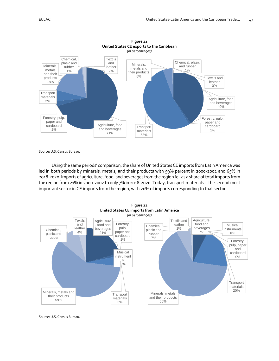<span id="page-47-1"></span><span id="page-47-0"></span>

**Figure 21**

Source: U.S. Census Bureau.

Using the same periods' comparison, the share of United States CE imports from Latin America was led in both periods by minerals, metals, and their products with 59% percent in 2000-2002 and 65% in 2018-2020. Imports of agriculture, food, and beverages from the region fell as a share of total imports from the region from 21% in 2000-2002 to only 7% in 2018-2020. Today, transport materials is the second most important sector in CE imports from the region, with 20% of imports corresponding to that sector.

<span id="page-47-3"></span><span id="page-47-2"></span>

Source: U.S. Census Bureau.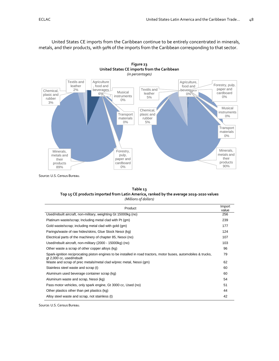United States CE imports from the Caribbean continue to be entirely concentrated in minerals, metals, and their products, with 90% of the imports from the Caribbean corresponding to that sector.

<span id="page-48-3"></span><span id="page-48-2"></span>

<span id="page-48-0"></span>Source: U.S. Census Bureau.

| Table 13                                                                               |
|----------------------------------------------------------------------------------------|
| Top 15 CE products imported from Latin America, ranked by the average 2019-2020 values |
| (Millions of dollars)                                                                  |

<span id="page-48-1"></span>

| Product                                                                                                                                       | Import<br>value |
|-----------------------------------------------------------------------------------------------------------------------------------------------|-----------------|
| Used/rebuilt aircraft, non-military, weighting Gt 15000kg (no)                                                                                | 256             |
| Platinum waste/scrap; Including metal clad with Pt (gm)                                                                                       | 239             |
| Gold waste/scrap; including metal clad with gold (gm)                                                                                         | 177             |
| Parings/waste of raw hides/skins, Glue Stock Nesoi (kg)                                                                                       | 124             |
| Electrical parts of the machinery of chapter 85, Nesoi (no)                                                                                   | 107             |
| Used/rebuilt aircraft, non-military (2000 - 15000kg) (no)                                                                                     | 103             |
| Other waste a scrap of other copper alloys (kg)                                                                                               | 96              |
| Spark-ignition reciprocating piston engines to be installed in road tractors, motor buses, automobiles & trucks,<br>gt 2,000 cc, used/rebuilt | 79              |
| Waste and scrap of prec metals/metal clad w/prec metal, Nesoi (qm)                                                                            | 62              |
| Stainless steel waste and scrap (t)                                                                                                           | 60              |
| Aluminum used beverage container scrap (kg)                                                                                                   | 60              |
| Aluminum waste and scrap, Nesoi (kg)                                                                                                          | 54              |
| Pass motor vehicles, only spark engine, Gt 3000 cc, Used (no)                                                                                 | 51              |
| Other plastics other than pet plastics (kg)                                                                                                   | 44              |
| Alloy steel waste and scrap, not stainless (t)                                                                                                | 42              |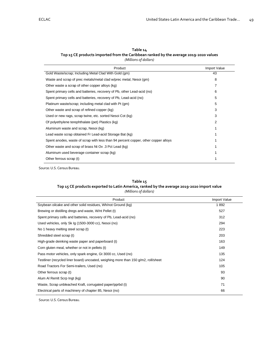| Table 14                                                                              |
|---------------------------------------------------------------------------------------|
| Top 15 CE products imported from the Caribbean ranked by the average 2019-2020 values |
| (Millions of dollars)                                                                 |

<span id="page-49-1"></span><span id="page-49-0"></span>

| Product                                                                            | <b>Import Value</b> |
|------------------------------------------------------------------------------------|---------------------|
| Gold Waste/scrap; Including Metal Clad With Gold (gm)                              | 43                  |
| Waste and scrap of prec metals/metal clad w/prec metal, Nesoi (gm)                 | 8                   |
| Other waste a scrap of other copper alloys (kg)                                    | 7                   |
| Spent primary cells and batteries, recovery of Pb, other Lead-acid (no)            | 6                   |
| Spent primary cells and batteries, recovery of Pb, Lead-acid (no)                  | 5                   |
| Platinum waste/scrap; including metal clad with Pt (gm)                            | 5                   |
| Other waste and scrap of refined copper (kg)                                       | 3                   |
| Used or new rags, scrap twine, etc. sorted Nesoi Cot (kg)                          | 3                   |
| Of polyethylene terephthalate (pet) Plastics (kg)                                  | 2                   |
| Aluminum waste and scrap, Nesoi (kg)                                               |                     |
| Lead waste scrap obtained Fr Lead-acid Storage Bat (kg)                            |                     |
| Spent anodes, waste of scrap with less than 94 percent copper, other copper alloys |                     |
| Other waste and scrap of brass Nt Ov .3 Pct Lead (kg)                              |                     |
| Aluminum used beverage container scrap (kg)                                        |                     |
| Other ferrous scrap (t)                                                            |                     |

<span id="page-49-2"></span>Source: U.S. Census Bureau.

#### **Table 15**

#### **Top 15 CE products exported to Latin America, ranked by the average 2019-2020 import value** *(Millions of dollars)*

<span id="page-49-3"></span>

| Product                                                                            | Import Value |
|------------------------------------------------------------------------------------|--------------|
| Soybean oilcake and other solid residues, Wh/not Ground (kg)                       | 1892         |
| Brewing or distilling dregs and waste, W/nt Pellet (t)                             | 527          |
| Spent primary cells and batteries, recovery of Pb, Lead-acid (no)                  | 312          |
| Used vehicles, only Sk Ig (1500-3000 cc), Nesoi (no)                               | 294          |
| No 1 heavy melting steel scrap (t)                                                 | 223          |
| Shredded steel scrap (t)                                                           | 203          |
| High-grade deinking waste paper and paperboard (t)                                 | 163          |
| Corn gluten meal, whether or not in pellets (t)                                    | 149          |
| Pass motor vehicles, only spark engine, Gt 3000 cc, Used (no)                      | 135          |
| Testliner (recycled liner board) uncoated, weighing more than 150 g/m2, roll/sheet | 124          |
| Road Tractors For Semi-trailers, Used (no)                                         | 105          |
| Other ferrous scrap (t)                                                            | 93           |
| Alum Al Remit Scrp Ingt (kg)                                                       | 90           |
| Waste, Scrap unbleached Kraft, corrugated paper/pprbd (t)                          | 71           |
| Electrical parts of machinery of chapter 85, Nesoi (no)                            | 66           |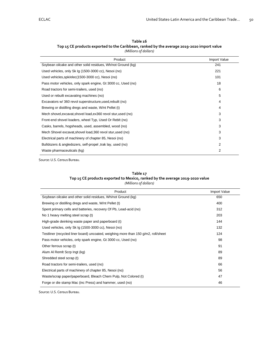| Table 16                                                                                   |
|--------------------------------------------------------------------------------------------|
| Top 15 CE products exported to the Caribbean, ranked by the average 2019-2020 import value |
| (Millions of dollars)                                                                      |

<span id="page-50-1"></span><span id="page-50-0"></span>

| Product                                                        | <b>Import Value</b> |
|----------------------------------------------------------------|---------------------|
| Soybean oilcake and other solid residues, Wh/not Ground (kg)   | 241                 |
| Used vehicles, only Sk Ig (1500-3000 cc), Nesoi (no)           | 221                 |
| Used vehicles, spk/elec(1500-3000 cc), Nesoi (no)              | 101                 |
| Pass motor vehicles, only spark engine, Gt 3000 cc, Used (no)  | 18                  |
| Road tractors for semi-trailers, used (no)                     | 6                   |
| Used or rebuilt excavating machines (no)                       | 5                   |
| Excavators w/ 360 revol superstructure, used, rebuilt (no)     | 4                   |
| Brewing or distilling dregs and waste, W/nt Pellet (t)         | 4                   |
| Mech shovel, excavat, shovel load, ex360 revol stur, used (no) | 3                   |
| Front-end shovel loaders, wheel Typ, Used Or Reblt (no)        | 3                   |
| Casks, barrels, hogsheads, used, assembled, wood (no)          | 3                   |
| Mech Shovel excavat, shovel load, 360 revol stur, used (no)    | 3                   |
| Electrical parts of machinery of chapter 85, Nesoi (no)        | 3                   |
| Bulldozers & angledozers, self-propel, trak lay, used (no)     | 2                   |
| Waste pharmaceuticals (kg)                                     | $\overline{2}$      |

<span id="page-50-2"></span>Source: U.S. Census Bureau.

#### **Table 17**

**Top 15 CE products exported to Mexico, ranked by the average 2019-2020 value**

#### *(Millions of dollars)*

<span id="page-50-3"></span>

| Product                                                                            | Import Value |
|------------------------------------------------------------------------------------|--------------|
| Soybean oilcake and other solid residues, Wh/not Ground (kg)                       | 650          |
| Brewing or distilling dregs and waste, W/nt Pellet (t)                             | 400          |
| Spent primary cells and batteries, recovery Of Pb, Lead-acid (no)                  | 312          |
| No 1 heavy melting steel scrap (t)                                                 | 203          |
| High-grade deinking waste paper and paperboard (t)                                 | 144          |
| Used vehicles, only Sk Ig (1500-3000 cc), Nesoi (no)                               | 132          |
| Testliner (recycled liner board) uncoated, weighing more than 150 g/m2, roll/sheet | 124          |
| Pass motor vehicles, only spark engine, Gt 3000 cc, Used (no)                      | 98           |
| Other ferrous scrap (t)                                                            | 91           |
| Alum Al Remit Scrp Ingt (kg)                                                       | 89           |
| Shredded steel scrap (t)                                                           | 89           |
| Road tractors for semi-trailers, used (no)                                         | 66           |
| Electrical parts of machinery of chapter 85, Nesoi (no)                            | 56           |
| Waste/scrap paper/paperboard, Bleach Chem Pulp, Not Colored (t)                    | 47           |
| Forge or die stamp Mac (inc Press) and hammer, used (no)                           | 46           |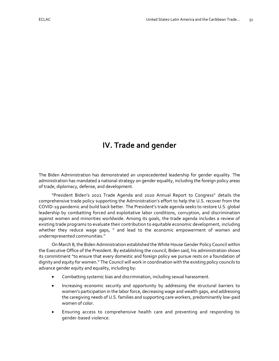# <span id="page-51-0"></span>**IV. Trade and gender**

The Biden Administration has demonstrated an unprecedented leadership for gender equality. The administration has mandated a national strategy on gender equality, including the foreign policy areas of trade, diplomacy, defense, and development.

"President Biden's 2021 Trade Agenda and 2020 Annual Report to Congress" details the comprehensive trade policy supporting the Administration's effort to help the U.S. recover from the COVID-19 pandemic and build back better. The President's trade agenda seeks to restore U.S. global leadership by combatting forced and exploitative labor conditions, corruption, and discrimination against women and minorities worldwide. Among its goals, the trade agenda includes a review of existing trade programs to evaluate their contribution to equitable economic development, including whether they reduce wage gaps, " and lead to the economic empowerment of women and underrepresented communities."

On March 8, the Biden Administration established the White House Gender Policy Council within the Executive Office of the President. By establishing the council, Biden said, his administration shows its commitment "to ensure that every domestic and foreign policy we pursue rests on a foundation of dignity and equity for women." The Council will work in coordination with the existing policy councils to advance gender equity and equality, including by:

- Combatting systemic bias and discrimination, including sexual harassment.
- Increasing economic security and opportunity by addressing the structural barriers to women's participation in the labor force, decreasing wage and wealth gaps, and addressing the caregiving needs of U.S. families and supporting care workers, predominantly low-paid women of color.
- Ensuring access to comprehensive health care and preventing and responding to gender-based violence.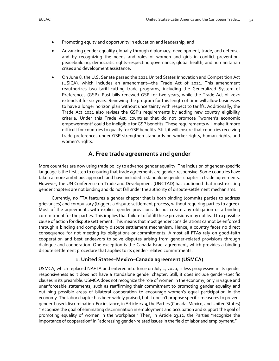- Promoting equity and opportunity in education and leadership; and
- Advancing gender equality globally through diplomacy, development, trade, and defense, and by recognizing the needs and roles of women and girls in conflict prevention, peacebuilding, democratic rights-respecting governance, global health, and humanitarian crises and development assistance.
- On June 8, the U.S. Senate passed the 2021 United States Innovation and Competition Act (USICA), which includes an amendment—the Trade Act of 2021. This amendment reauthorizes two tariff-cutting trade programs, including the Generalized System of Preferences (GSP). Past bills renewed GSP for two years, while the Trade Act of 2021 extends it for six years. Renewing the program for this length of time will allow businesses to have a longer horizon plan without uncertainty with respect to tariffs. Additionally, the Trade Act 2021 also revises the GSP's requirements by adding new country eligibility criteria. Under this Trade Act, countries that do not promote "women's economic empowerment" could be ineligible for GSP benefits. These requirements will make it more difficult for countries to qualify for GSP benefits. Still, it will ensure that countries receiving trade preferences under GSP strengthen standards on worker rights, human rights, and women's rights.

## **A. Free trade agreements and gender**

<span id="page-52-0"></span>More countries are now using trade policy to advance gender equality. The inclusion of gender-specific language is the first step to ensuring that trade agreements are gender-responsive. Some countries have taken a more ambitious approach and have included a standalone gender chapter in trade agreements. However, the UN Conference on Trade and Development (UNCTAD) has cautioned that most existing gender chapters are not binding and do not fall under the authority of dispute-settlement mechanisms.

Currently, no FTA features a gender chapter that is both binding (commits parties to address grievances) and compulsory (triggers a dispute settlement process, without requiring parties to agree). Most of the agreements with explicit gender provisions do not create any obligation or a binding commitment for the parties. This implies that failure to fulfill these provisions may not lead to a possible cause of action for dispute settlement. This means that most gender considerations cannot be enforced through a binding and compulsory dispute settlement mechanism. Hence, a country faces no direct consequence for not meeting its obligations or commitments. Almost all FTAs rely on good-faith cooperation and best endeavors to solve disputes arising from gender-related provisions through dialogue and cooperation. One exception is the Canada-Israel agreement, which provides a binding dispute settlement procedure that applies to its gender-related commitments.

#### **1. United States–Mexico–Canada agreement (USMCA)**

<span id="page-52-1"></span>USMCA, which replaced NAFTA and entered into force on July 1, 2020, is less progressive in its gender responsiveness as it does not have a standalone gender chapter. Still, it does include gender-specific clauses in its preamble. USMCA does not recognize the role of women in the economy, only in vague and unenforceable statements, such as reaffirming their commitment to promoting gender equality and outlining possible areas of bilateral cooperation to encourage women's equal participation in the economy. The labor chapter has been widely praised, but it doesn't propose specific measures to prevent gender-based discrimination. For instance, in Article 23.9, the Parties (Canada, Mexico, and United States) "recognize the goal of eliminating discrimination in employment and occupation and support the goal of promoting equality of women in the workplace." Then, in Article 23.12, the Parties "recognize the importance of cooperation" in "addressing gender-related issues in the field of labor and employment."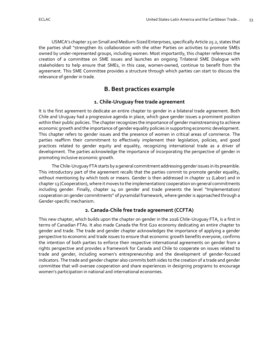USMCA's chapter 25 on Small and Medium-Sized Enterprises, specifically Article 25.2, states that the parties shall "strengthen its collaboration with the other Parties on activities to promote SMEs owned by under-represented groups, including women. Most importantly, this chapter references the creation of a committee on SME issues and launches an ongoing Trilateral SME Dialogue with stakeholders to help ensure that SMEs, in this case, women-owned, continue to benefit from the agreement. This SME Committee provides a structure through which parties can start to discuss the relevance of gender in trade.

# **B. Best practices example**

### **1. Chile-Uruguay free trade agreement**

<span id="page-53-1"></span><span id="page-53-0"></span>It is the first agreement to dedicate an entire chapter to gender in a bilateral trade agreement. Both Chile and Uruguay had a progressive agenda in place, which gave gender issues a prominent position within their public policies. The chapter recognizes the importance of gender mainstreaming to achieve economic growth and the importance of gender equality policies in supporting economic development. This chapter refers to gender issues and the presence of women in critical areas of commerce. The parties reaffirm their commitment to effectively implement their legislation, policies, and good practices related to gender equity and equality, recognizing international trade as a driver of development. The parties acknowledge the importance of incorporating the perspective of gender in promoting inclusive economic growth.

The Chile-Uruguay FTA starts by a general commitment addressing gender issues in its preamble. This introductory part of the agreement recalls that the parties commit to promote gender equality, without mentioning by which tools or means. Gender is then addressed in chapter 11 (Labor) and in chapter 13 (Cooperation), where it moves to the implementation/ cooperation on general commitments including gender. Finally, chapter 14 on gender and trade presents the level "Implementation/ cooperation on gender commitments" of pyramidal framework, where gender is approached through a Gender-specific mechanism.

## **2. Canada-Chile free trade agreement (CCFTA)**

<span id="page-53-2"></span>This new chapter, which builds upon the chapter on gender in the 2016 Chile-Uruguay FTA, is a first in terms of Canadian FTAs. It also made Canada the first G20 economy dedicating an entire chapter to gender and trade. The trade and gender chapter acknowledges the importance of applying a gender perspective to economic and trade issues to ensure that economic growth benefits everyone, confirms the intention of both parties to enforce their respective international agreements on gender from a rights perspective and provides a framework for Canada and Chile to cooperate on issues related to trade and gender, including women's entrepreneurship and the development of gender-focused indicators. The trade and gender chapter also commits both sides to the creation of a trade and gender committee that will oversee cooperation and share experiences in designing programs to encourage women's participation in national and international economies.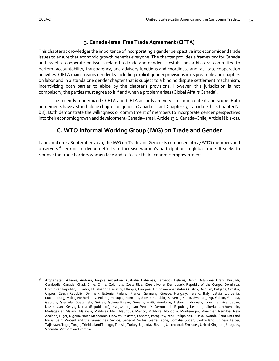## **3. Canada-Israel Free Trade Agreement (CIFTA)**

<span id="page-54-0"></span>This chapter acknowledges the importance of incorporating a gender perspective into economic and trade issues to ensure that economic growth benefits everyone. The chapter provides a framework for Canada and Israel to cooperate on issues related to trade and gender. It establishes a bilateral committee to perform accountability, transparency, and advisory functions and coordinate and facilitate cooperation activities. CIFTA mainstreams gender by including explicit gender provisions in its preamble and chapters on labor and in a standalone gender chapter that is subject to a binding dispute settlement mechanism, incentivizing both parties to abide by the chapter's provisions. However, this jurisdiction is not compulsory; the parties must agree to it if and when a problem arises (Global Affairs Canada).

The recently modernized CCFTA and CIFTA accords are very similar in content and scope. Both agreements have a stand-alone chapter on gender (Canada–Israel, Chapter 13; Canada– Chile, Chapter Nbis). Both demonstrate the willingness or commitment of members to incorporate gender perspectives into their economic growth and development (Canada–Israel, Article 13.1; Canada–Chile, Article N bis-01).

# **C. WTO Informal Working Group (IWG) on Trade and Gender**

<span id="page-54-1"></span>Launched on 23 September 2020, the IWG on Trade and Gender is composed of 127 WTO members and observers<sup>36</sup> seeking to deepen efforts to increase women's participation in global trade. It seeks to remove the trade barriers women face and to foster their economic empowerment.

<sup>36</sup> Afghanistan, Albania, Andorra, Angola, Argentina, Australia, Bahamas, Barbados, Belarus, Benin, Botswana, Brazil, Burundi, Cambodia, Canada, Chad, Chile, China, Colombia, Costa Rica, Côte d'Ivoire, Democratic Republic of the Congo, Dominica, Dominican Republic, Ecuador, El Salvador, Eswatini, Ethiopia, European Union member states (Austria, Belgium, Bulgaria, Croatia, Cyprus, Czech Republic, Denmark, Estonia, Finland, France, Germany, Greece, Hungary, Ireland, Italy, Latvia, Lithuania, Luxembourg, Malta, Netherlands, Poland, Portugal, Romania, Slovak Republic, Slovenia, Spain, Sweden), Fiji, Gabon, Gambia, Georgia, Grenada, Guatemala, Guinea, Guinea Bissau, Guyana, Haiti, Honduras, Iceland, Indonesia, Israel, Jamaica, Japan, Kazakhstan, Kenya, Korea (Republic of), Kyrgyzstan, Lao People's Democratic Republic, Lesotho, Liberia, Liechtenstein, Madagascar, Malawi, Malaysia, Maldives, Mali, Mauritius, Mexico, Moldova, Mongolia, Montenegro, Myanmar, Namibia, New Zealand, Niger, Nigeria, North Macedonia, Norway, Pakistan, Panama, Paraguay, Peru, Philippines, Russia, Rwanda, Saint Kitts and Nevis, Saint Vincent and the Grenadines, Samoa, Senegal, Serbia, Sierra Leone, Somalia, Sudan, Switzerland, Chinese Taipei, Tajikistan, Togo, Tonga, Trinidad and Tobago, Tunisia, Turkey, Uganda, Ukraine, United Arab Emirates, United Kingdom, Uruguay, Vanuatu, Vietnam and Zambia.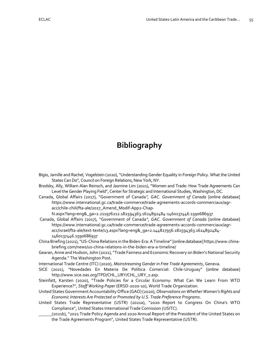# <span id="page-55-0"></span>**Bibliography**

- Bigio, Jamille and Rachel, Vogelstein (2020), "Understanding Gender Equality in Foreign Policy. What the United States Can Do", Council on Foreign Relations, New York, NY.
- Brodsky, Ally, William Alan Reinsch, and Jasmine Lim (2021), "Women and Trade: How Trade Agreements Can Level the Gender Playing Field", Center for Strategic and International Studies, Washington, DC.
- Canada, Global Affairs (2017), "Government of Canada*", GAC. Government of Canada* [online database] [https://www.international.gc.ca/trade-commerce/trade-agreements-accords-commerciaux/agr](https://www.international.gc.ca/trade-commerce/trade-agreements-accords-commerciaux/agr-acc/chile-chili/fta-ale/2017_Amend_Modif-App2-Chap-N.aspx?lang=eng&_ga=2.211976212.182594363.1624892484-1460137446.1590686937)[acc/chile-chili/fta-ale/2017\\_Amend\\_Modif-App2-Chap-](https://www.international.gc.ca/trade-commerce/trade-agreements-accords-commerciaux/agr-acc/chile-chili/fta-ale/2017_Amend_Modif-App2-Chap-N.aspx?lang=eng&_ga=2.211976212.182594363.1624892484-1460137446.1590686937)

[N.aspx?lang=eng&\\_ga=2.211976212.182594363.1624892484-1460137446.1590686937](https://www.international.gc.ca/trade-commerce/trade-agreements-accords-commerciaux/agr-acc/chile-chili/fta-ale/2017_Amend_Modif-App2-Chap-N.aspx?lang=eng&_ga=2.211976212.182594363.1624892484-1460137446.1590686937)

- Canada, Global Affairs (2017), "Government of Canada*", GAC. Government of Canada* [online database] [https://www.international.gc.ca/trade-commerce/trade-agreements-accords-commerciaux/agr](https://www.international.gc.ca/trade-commerce/trade-agreements-accords-commerciaux/agr-acc/israel/fta-ale/text-texte/13.aspx?lang=eng&_ga=2.144827956.182594363.1624892484-1460137446.1590686937)[acc/israel/fta-ale/text-texte/13.aspx?lang=eng&\\_ga=2.144827956.182594363.1624892484-](https://www.international.gc.ca/trade-commerce/trade-agreements-accords-commerciaux/agr-acc/israel/fta-ale/text-texte/13.aspx?lang=eng&_ga=2.144827956.182594363.1624892484-1460137446.1590686937) [1460137446.1590686937](https://www.international.gc.ca/trade-commerce/trade-agreements-accords-commerciaux/agr-acc/israel/fta-ale/text-texte/13.aspx?lang=eng&_ga=2.144827956.182594363.1624892484-1460137446.1590686937)
- China Briefing (2021), "US-China Relations in the Biden-Era: A Timeline" [online database] https://www.china[briefing.com/news/us-china-relations-in-the-biden-era-a-timeline/](https://www.china-briefing.com/news/us-china-relations-in-the-biden-era-a-timeline/)
- Gearan, Anne and Hudson, John (2021), "Trade Fairness and Economic Recovery on Biden's National Security Agenda." The Washington Post.
- International Trade Centre (ITC) (2020), *Mainstreaming Gender in Free Trade Agreements*, Geneva.
- SICE (2021), "Novedades En Materia De Política Comercial: Chile-Uruguay" [online database] [http://www.sice.oas.org/TPD/CHL\\_URY/CHL\\_URY\\_s.asp.](http://www.sice.oas.org/TPD/CHL_URY/CHL_URY_s.asp)
- Steinfatt, Karsten (2020), "Trade Policies for a Circular Economy: What Can We Learn From WTO Experience?", *Staff Working Paper* (ERSD-2020-10), World Trade Organization.
- United States Government Accountability Office (GAO) (2020), *Observations on Whether Women's Rights and Economic Interests Are Protected or Promoted by U.S. Trade Preference Programs*.
- United States Trade Representative (USTR) (2021a), "2020 Report to Congress On China's WTO Compliance", United States International Trade Comission (USITC).
	- (2021b), "2021 Trade Policy Agenda and 2020 Annual Report of the President of the United States on the Trade Agreements Program", United States Trade Representative (USTR).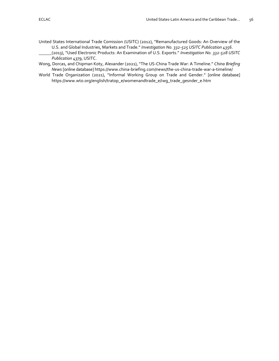- United States International Trade Comission (USITC) (2012), "Remanufactured Goods: An Overview of the U.S. and Global Industries, Markets and Trade." *Investigation No. 332-525 USITC Publication 4356*.
	- (2013), "Used Electronic Products: An Examination of U.S. Exports." *Investigation No. 332-528 USITC Publication 4379*, USITC.
- Wong, Dorcas, and Chipman Koty, Alexander (2021), "The US-China Trade War: A Timeline." *China Briefing News* [online database] <https://www.china-briefing.com/news/the-us-china-trade-war-a-timeline/>
- World Trade Organization (2021), "Informal Working Group on Trade and Gender." [online database] [https://www.wto.org/english/tratop\\_e/womenandtrade\\_e/iwg\\_trade\\_gesnder\\_e.htm](https://www.wto.org/english/tratop_e/womenandtrade_e/iwg_trade_gesnder_e.htm)